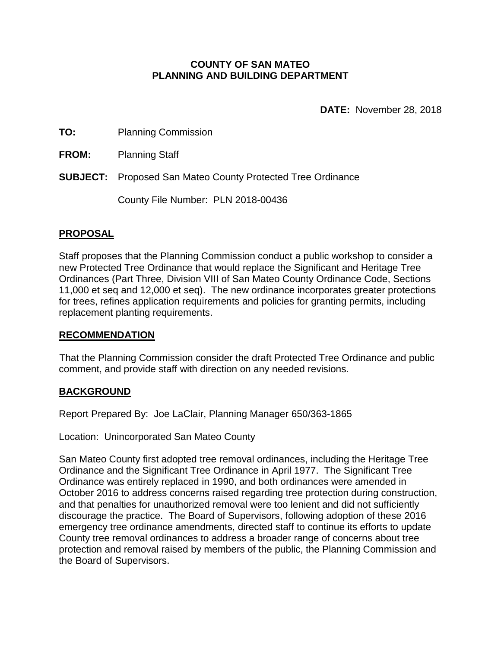#### **COUNTY OF SAN MATEO PLANNING AND BUILDING DEPARTMENT**

**DATE:** November 28, 2018

**TO:** Planning Commission

**FROM:** Planning Staff

**SUBJECT:** Proposed San Mateo County Protected Tree Ordinance

County File Number: PLN 2018-00436

### **PROPOSAL**

Staff proposes that the Planning Commission conduct a public workshop to consider a new Protected Tree Ordinance that would replace the Significant and Heritage Tree Ordinances (Part Three, Division VIII of San Mateo County Ordinance Code, Sections 11,000 et seq and 12,000 et seq). The new ordinance incorporates greater protections for trees, refines application requirements and policies for granting permits, including replacement planting requirements.

### **RECOMMENDATION**

That the Planning Commission consider the draft Protected Tree Ordinance and public comment, and provide staff with direction on any needed revisions.

### **BACKGROUND**

Report Prepared By: Joe LaClair, Planning Manager 650/363-1865

Location: Unincorporated San Mateo County

San Mateo County first adopted tree removal ordinances, including the Heritage Tree Ordinance and the Significant Tree Ordinance in April 1977. The Significant Tree Ordinance was entirely replaced in 1990, and both ordinances were amended in October 2016 to address concerns raised regarding tree protection during construction, and that penalties for unauthorized removal were too lenient and did not sufficiently discourage the practice. The Board of Supervisors, following adoption of these 2016 emergency tree ordinance amendments, directed staff to continue its efforts to update County tree removal ordinances to address a broader range of concerns about tree protection and removal raised by members of the public, the Planning Commission and the Board of Supervisors.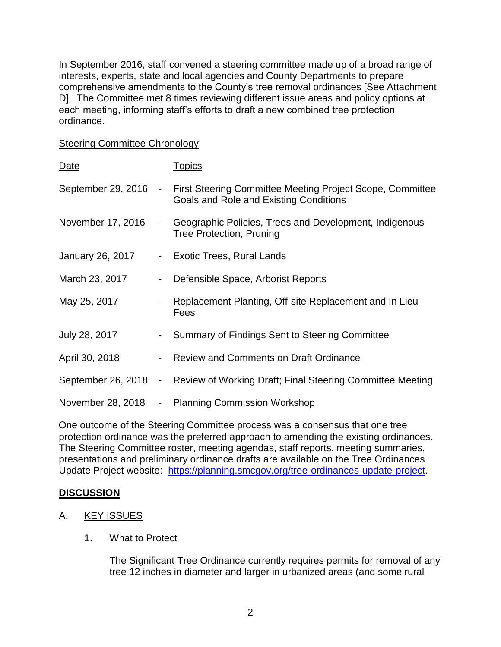In September 2016, staff convened a steering committee made up of a broad range of interests, experts, state and local agencies and County Departments to prepare comprehensive amendments to the County's tree removal ordinances [See Attachment D]. The Committee met 8 times reviewing different issue areas and policy options at each meeting, informing staff's efforts to draft a new combined tree protection ordinance.

#### Steering Committee Chronology:

| Date               |                | <u>Topics</u>                                                                                              |
|--------------------|----------------|------------------------------------------------------------------------------------------------------------|
| September 29, 2016 | $\blacksquare$ | <b>First Steering Committee Meeting Project Scope, Committee</b><br>Goals and Role and Existing Conditions |
| November 17, 2016  | $\blacksquare$ | Geographic Policies, Trees and Development, Indigenous<br><b>Tree Protection, Pruning</b>                  |
| January 26, 2017   | $\sim$         | <b>Exotic Trees, Rural Lands</b>                                                                           |
| March 23, 2017     | $\blacksquare$ | Defensible Space, Arborist Reports                                                                         |
| May 25, 2017       |                | Replacement Planting, Off-site Replacement and In Lieu<br>Fees                                             |
| July 28, 2017      | $\blacksquare$ | Summary of Findings Sent to Steering Committee                                                             |
| April 30, 2018     | $\blacksquare$ | <b>Review and Comments on Draft Ordinance</b>                                                              |
| September 26, 2018 | $\blacksquare$ | Review of Working Draft; Final Steering Committee Meeting                                                  |
| November 28, 2018  | ۰.             | <b>Planning Commission Workshop</b>                                                                        |

One outcome of the Steering Committee process was a consensus that one tree protection ordinance was the preferred approach to amending the existing ordinances. The Steering Committee roster, meeting agendas, staff reports, meeting summaries, presentations and preliminary ordinance drafts are available on the Tree Ordinances Update Project website: [https://planning.smcgov.org/tree-ordinances-update-project.](https://planning.smcgov.org/tree-ordinances-update-project)

### **DISCUSSION**

- A. KEY ISSUES
	- 1. What to Protect

The Significant Tree Ordinance currently requires permits for removal of any tree 12 inches in diameter and larger in urbanized areas (and some rural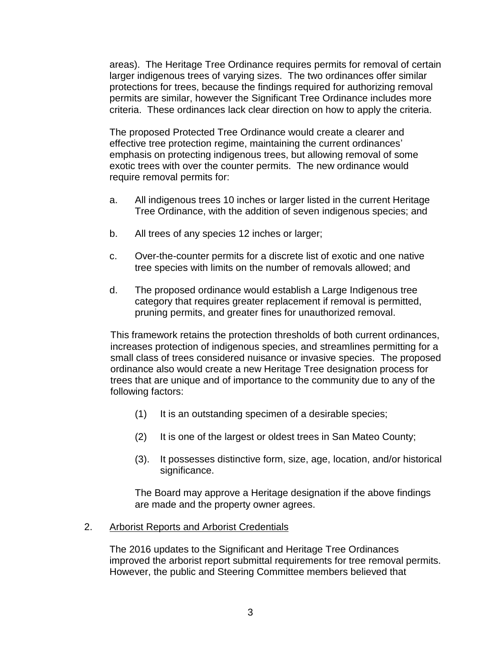areas). The Heritage Tree Ordinance requires permits for removal of certain larger indigenous trees of varying sizes. The two ordinances offer similar protections for trees, because the findings required for authorizing removal permits are similar, however the Significant Tree Ordinance includes more criteria. These ordinances lack clear direction on how to apply the criteria.

The proposed Protected Tree Ordinance would create a clearer and effective tree protection regime, maintaining the current ordinances' emphasis on protecting indigenous trees, but allowing removal of some exotic trees with over the counter permits. The new ordinance would require removal permits for:

- a. All indigenous trees 10 inches or larger listed in the current Heritage Tree Ordinance, with the addition of seven indigenous species; and
- b. All trees of any species 12 inches or larger;
- c. Over-the-counter permits for a discrete list of exotic and one native tree species with limits on the number of removals allowed; and
- d. The proposed ordinance would establish a Large Indigenous tree category that requires greater replacement if removal is permitted, pruning permits, and greater fines for unauthorized removal.

This framework retains the protection thresholds of both current ordinances, increases protection of indigenous species, and streamlines permitting for a small class of trees considered nuisance or invasive species. The proposed ordinance also would create a new Heritage Tree designation process for trees that are unique and of importance to the community due to any of the following factors:

- (1) It is an outstanding specimen of a desirable species;
- (2) It is one of the largest or oldest trees in San Mateo County;
- (3). It possesses distinctive form, size, age, location, and/or historical significance.

The Board may approve a Heritage designation if the above findings are made and the property owner agrees.

### 2. Arborist Reports and Arborist Credentials

The 2016 updates to the Significant and Heritage Tree Ordinances improved the arborist report submittal requirements for tree removal permits. However, the public and Steering Committee members believed that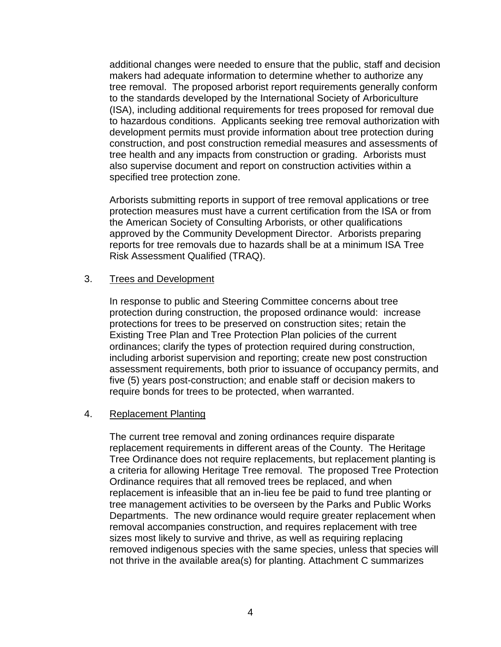additional changes were needed to ensure that the public, staff and decision makers had adequate information to determine whether to authorize any tree removal. The proposed arborist report requirements generally conform to the standards developed by the International Society of Arboriculture (ISA), including additional requirements for trees proposed for removal due to hazardous conditions. Applicants seeking tree removal authorization with development permits must provide information about tree protection during construction, and post construction remedial measures and assessments of tree health and any impacts from construction or grading. Arborists must also supervise document and report on construction activities within a specified tree protection zone.

Arborists submitting reports in support of tree removal applications or tree protection measures must have a current certification from the ISA or from the American Society of Consulting Arborists, or other qualifications approved by the Community Development Director. Arborists preparing reports for tree removals due to hazards shall be at a minimum ISA Tree Risk Assessment Qualified (TRAQ).

#### 3. Trees and Development

In response to public and Steering Committee concerns about tree protection during construction, the proposed ordinance would: increase protections for trees to be preserved on construction sites; retain the Existing Tree Plan and Tree Protection Plan policies of the current ordinances; clarify the types of protection required during construction, including arborist supervision and reporting; create new post construction assessment requirements, both prior to issuance of occupancy permits, and five (5) years post-construction; and enable staff or decision makers to require bonds for trees to be protected, when warranted.

### 4. Replacement Planting

The current tree removal and zoning ordinances require disparate replacement requirements in different areas of the County. The Heritage Tree Ordinance does not require replacements, but replacement planting is a criteria for allowing Heritage Tree removal. The proposed Tree Protection Ordinance requires that all removed trees be replaced, and when replacement is infeasible that an in-lieu fee be paid to fund tree planting or tree management activities to be overseen by the Parks and Public Works Departments. The new ordinance would require greater replacement when removal accompanies construction, and requires replacement with tree sizes most likely to survive and thrive, as well as requiring replacing removed indigenous species with the same species, unless that species will not thrive in the available area(s) for planting. Attachment C summarizes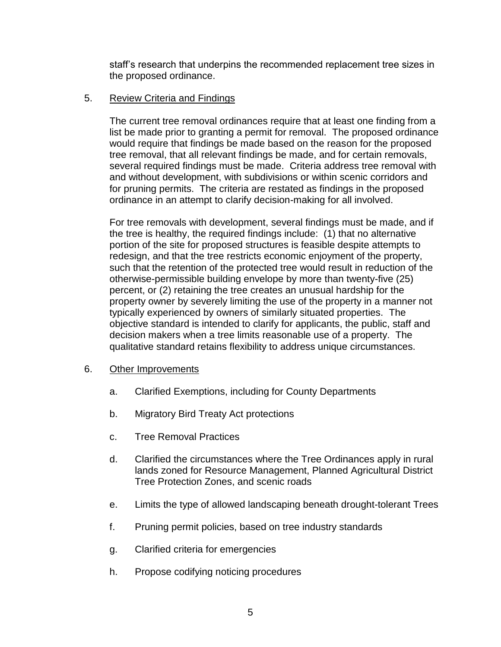staff's research that underpins the recommended replacement tree sizes in the proposed ordinance.

## 5. Review Criteria and Findings

The current tree removal ordinances require that at least one finding from a list be made prior to granting a permit for removal. The proposed ordinance would require that findings be made based on the reason for the proposed tree removal, that all relevant findings be made, and for certain removals, several required findings must be made. Criteria address tree removal with and without development, with subdivisions or within scenic corridors and for pruning permits. The criteria are restated as findings in the proposed ordinance in an attempt to clarify decision-making for all involved.

For tree removals with development, several findings must be made, and if the tree is healthy, the required findings include: (1) that no alternative portion of the site for proposed structures is feasible despite attempts to redesign, and that the tree restricts economic enjoyment of the property, such that the retention of the protected tree would result in reduction of the otherwise-permissible building envelope by more than twenty-five (25) percent, or (2) retaining the tree creates an unusual hardship for the property owner by severely limiting the use of the property in a manner not typically experienced by owners of similarly situated properties. The objective standard is intended to clarify for applicants, the public, staff and decision makers when a tree limits reasonable use of a property. The qualitative standard retains flexibility to address unique circumstances.

### 6. Other Improvements

- a. Clarified Exemptions, including for County Departments
- b. Migratory Bird Treaty Act protections
- c. Tree Removal Practices
- d. Clarified the circumstances where the Tree Ordinances apply in rural lands zoned for Resource Management, Planned Agricultural District Tree Protection Zones, and scenic roads
- e. Limits the type of allowed landscaping beneath drought-tolerant Trees
- f. Pruning permit policies, based on tree industry standards
- g. Clarified criteria for emergencies
- h. Propose codifying noticing procedures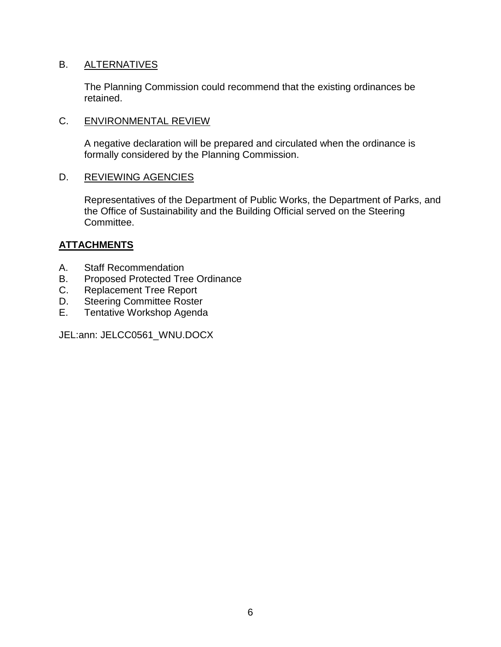## B. ALTERNATIVES

The Planning Commission could recommend that the existing ordinances be retained.

## C. ENVIRONMENTAL REVIEW

A negative declaration will be prepared and circulated when the ordinance is formally considered by the Planning Commission.

### D. REVIEWING AGENCIES

Representatives of the Department of Public Works, the Department of Parks, and the Office of Sustainability and the Building Official served on the Steering Committee.

## **ATTACHMENTS**

- A. Staff Recommendation
- B. Proposed Protected Tree Ordinance
- C. Replacement Tree Report
- D. Steering Committee Roster
- E. Tentative Workshop Agenda

JEL:ann: JELCC0561\_WNU.DOCX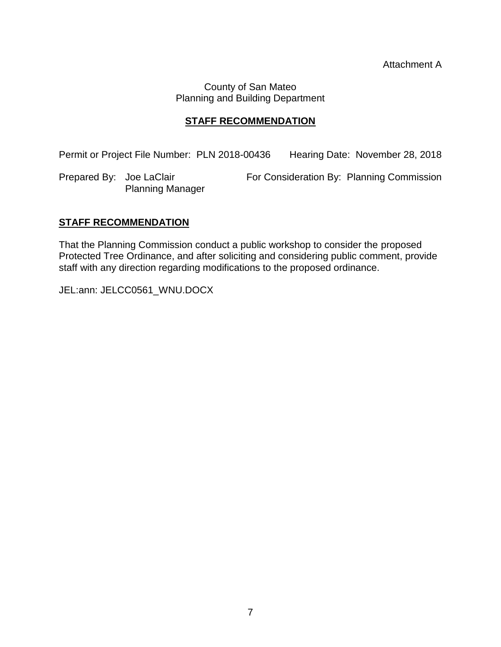County of San Mateo Planning and Building Department

## **STAFF RECOMMENDATION**

Permit or Project File Number: PLN 2018-00436 Hearing Date: November 28, 2018

Prepared By: Joe LaClair For Consideration By: Planning Commission Planning Manager

## **STAFF RECOMMENDATION**

That the Planning Commission conduct a public workshop to consider the proposed Protected Tree Ordinance, and after soliciting and considering public comment, provide staff with any direction regarding modifications to the proposed ordinance.

JEL:ann: JELCC0561\_WNU.DOCX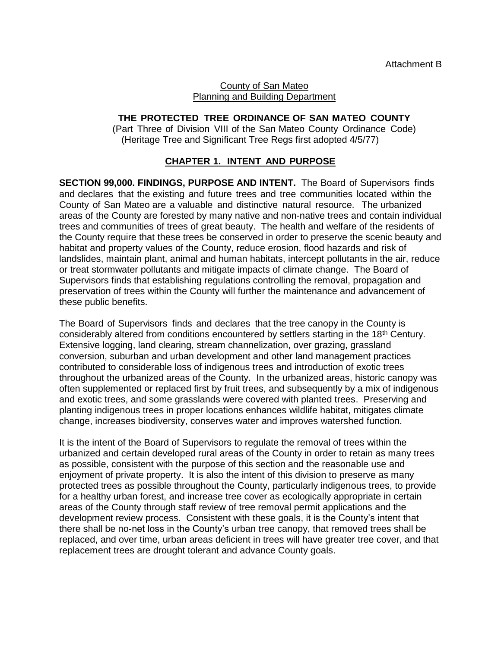#### County of San Mateo Planning and Building Department

# **THE PROTECTED TREE ORDINANCE OF SAN MATEO COUNTY**

(Part Three of Division VIII of the San Mateo County Ordinance Code) (Heritage Tree and Significant Tree Regs first adopted 4/5/77)

## **CHAPTER 1. INTENT AND PURPOSE**

**SECTION 99,000. FINDINGS, PURPOSE AND INTENT.** The Board of Supervisors finds and declares that the existing and future trees and tree communities located within the County of San Mateo are a valuable and distinctive natural resource. The urbanized areas of the County are forested by many native and non-native trees and contain individual trees and communities of trees of great beauty. The health and welfare of the residents of the County require that these trees be conserved in order to preserve the scenic beauty and habitat and property values of the County, reduce erosion, flood hazards and risk of landslides, maintain plant, animal and human habitats, intercept pollutants in the air, reduce or treat stormwater pollutants and mitigate impacts of climate change. The Board of Supervisors finds that establishing regulations controlling the removal, propagation and preservation of trees within the County will further the maintenance and advancement of these public benefits.

The Board of Supervisors finds and declares that the tree canopy in the County is considerably altered from conditions encountered by settlers starting in the  $18<sup>th</sup>$  Century. Extensive logging, land clearing, stream channelization, over grazing, grassland conversion, suburban and urban development and other land management practices contributed to considerable loss of indigenous trees and introduction of exotic trees throughout the urbanized areas of the County. In the urbanized areas, historic canopy was often supplemented or replaced first by fruit trees, and subsequently by a mix of indigenous and exotic trees, and some grasslands were covered with planted trees. Preserving and planting indigenous trees in proper locations enhances wildlife habitat, mitigates climate change, increases biodiversity, conserves water and improves watershed function.

It is the intent of the Board of Supervisors to regulate the removal of trees within the urbanized and certain developed rural areas of the County in order to retain as many trees as possible, consistent with the purpose of this section and the reasonable use and enjoyment of private property. It is also the intent of this division to preserve as many protected trees as possible throughout the County, particularly indigenous trees, to provide for a healthy urban forest, and increase tree cover as ecologically appropriate in certain areas of the County through staff review of tree removal permit applications and the development review process. Consistent with these goals, it is the County's intent that there shall be no-net loss in the County's urban tree canopy, that removed trees shall be replaced, and over time, urban areas deficient in trees will have greater tree cover, and that replacement trees are drought tolerant and advance County goals.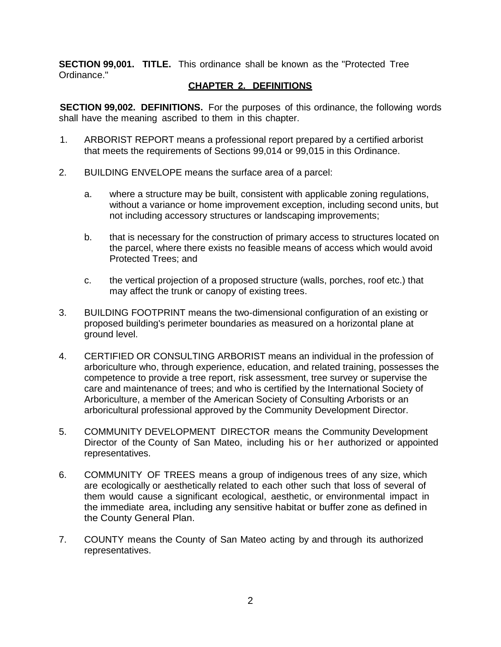**SECTION 99,001. TITLE.** This ordinance shall be known as the "Protected Tree Ordinance."

### **CHAPTER 2. DEFINITIONS**

**SECTION 99,002. DEFINITIONS.** For the purposes of this ordinance, the following words shall have the meaning ascribed to them in this chapter.

- 1. ARBORIST REPORT means a professional report prepared by a certified arborist that meets the requirements of Sections 99,014 or 99,015 in this Ordinance.
- 2. BUILDING ENVELOPE means the surface area of a parcel:
	- a. where a structure may be built, consistent with applicable zoning regulations, without a variance or home improvement exception, including second units, but not including accessory structures or landscaping improvements;
	- b. that is necessary for the construction of primary access to structures located on the parcel, where there exists no feasible means of access which would avoid Protected Trees; and
	- c. the vertical projection of a proposed structure (walls, porches, roof etc.) that may affect the trunk or canopy of existing trees.
- 3. BUILDING FOOTPRINT means the two-dimensional configuration of an existing or proposed building's perimeter boundaries as measured on a horizontal plane at ground level.
- 4. CERTIFIED OR CONSULTING ARBORIST means an individual in the profession of arboriculture who, through experience, education, and related training, possesses the competence to provide a tree report, risk assessment, tree survey or supervise the care and maintenance of trees; and who is certified by the International Society of Arboriculture, a member of the American Society of Consulting Arborists or an arboricultural professional approved by the Community Development Director.
- 5. COMMUNITY DEVELOPMENT DIRECTOR means the Community Development Director of the County of San Mateo, including his or her authorized or appointed representatives.
- 6. COMMUNITY OF TREES means a group of indigenous trees of any size, which are ecologically or aesthetically related to each other such that loss of several of them would cause a significant ecological, aesthetic, or environmental impact in the immediate area, including any sensitive habitat or buffer zone as defined in the County General Plan.
- 7. COUNTY means the County of San Mateo acting by and through its authorized representatives.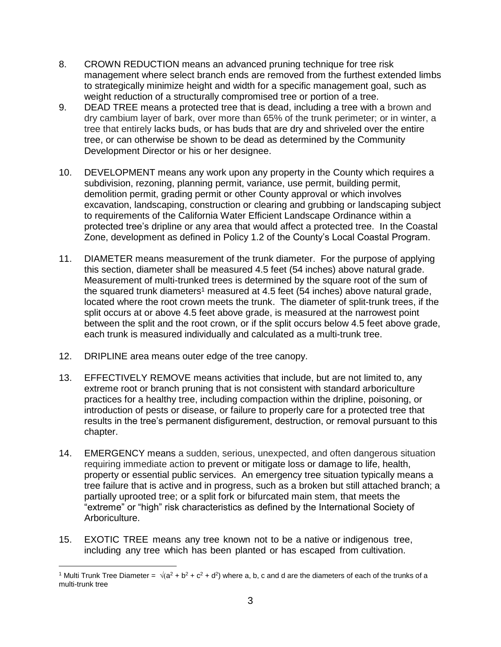- 8. CROWN REDUCTION means an advanced pruning technique for tree risk management where select branch ends are removed from the furthest extended limbs to strategically minimize height and width for a specific management goal, such as weight reduction of a structurally compromised tree or portion of a tree.
- 9. DEAD TREE means a protected tree that is dead, including a tree with a brown and dry cambium layer of bark, over more than 65% of the trunk perimeter; or in winter, a tree that entirely lacks buds, or has buds that are dry and shriveled over the entire tree, or can otherwise be shown to be dead as determined by the Community Development Director or his or her designee.
- 10. DEVELOPMENT means any work upon any property in the County which requires a subdivision, rezoning, planning permit, variance, use permit, building permit, demolition permit, grading permit or other County approval or which involves excavation, landscaping, construction or clearing and grubbing or landscaping subject to requirements of the California Water Efficient Landscape Ordinance within a protected tree's dripline or any area that would affect a protected tree. In the Coastal Zone, development as defined in Policy 1.2 of the County's Local Coastal Program.
- 11. DIAMETER means measurement of the trunk diameter. For the purpose of applying this section, diameter shall be measured 4.5 feet (54 inches) above natural grade. Measurement of multi-trunked trees is determined by the square root of the sum of the squared trunk diameters<sup>1</sup> measured at 4.5 feet (54 inches) above natural grade, located where the root crown meets the trunk. The diameter of split-trunk trees, if the split occurs at or above 4.5 feet above grade, is measured at the narrowest point between the split and the root crown, or if the split occurs below 4.5 feet above grade, each trunk is measured individually and calculated as a multi-trunk tree.
- 12. DRIPLINE area means outer edge of the tree canopy.

 $\overline{a}$ 

- 13. EFFECTIVELY REMOVE means activities that include, but are not limited to, any extreme root or branch pruning that is not consistent with standard arboriculture practices for a healthy tree, including compaction within the dripline, poisoning, or introduction of pests or disease, or failure to properly care for a protected tree that results in the tree's permanent disfigurement, destruction, or removal pursuant to this chapter.
- 14. EMERGENCY means a sudden, serious, unexpected, and often dangerous situation requiring immediate action to prevent or mitigate loss or damage to life, health, property or essential public services. An emergency tree situation typically means a tree failure that is active and in progress, such as a broken but still attached branch; a partially uprooted tree; or a split fork or bifurcated main stem, that meets the "extreme" or "high" risk characteristics as defined by the International Society of Arboriculture.
- 15. EXOTIC TREE means any tree known not to be a native or indigenous tree, including any tree which has been planted or has escaped from cultivation.

<sup>&</sup>lt;sup>1</sup> Multi Trunk Tree Diameter =  $\sqrt{(a^2 + b^2 + c^2 + d^2)}$  where a, b, c and d are the diameters of each of the trunks of a multi-trunk tree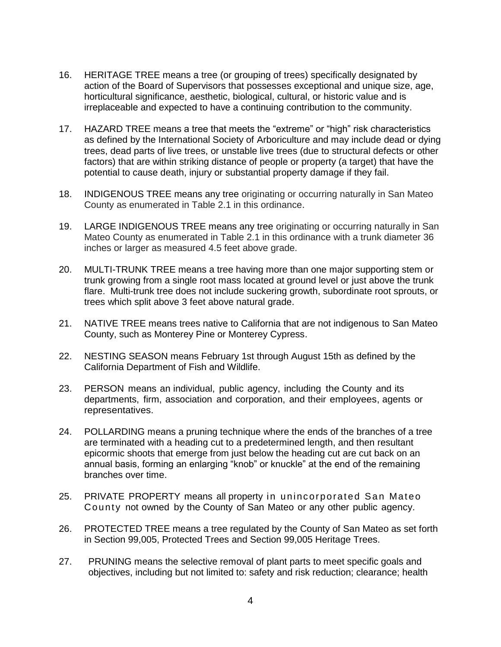- 16. HERITAGE TREE means a tree (or grouping of trees) specifically designated by action of the Board of Supervisors that possesses exceptional and unique size, age, horticultural significance, aesthetic, biological, cultural, or historic value and is irreplaceable and expected to have a continuing contribution to the community.
- 17. HAZARD TREE means a tree that meets the "extreme" or "high" risk characteristics as defined by the International Society of Arboriculture and may include dead or dying trees, dead parts of live trees, or unstable live trees (due to structural defects or other factors) that are within striking distance of people or property (a target) that have the potential to cause death, injury or substantial property damage if they fail.
- 18. INDIGENOUS TREE means any tree originating or occurring naturally in San Mateo County as enumerated in Table 2.1 in this ordinance.
- 19. LARGE INDIGENOUS TREE means any tree originating or occurring naturally in San Mateo County as enumerated in Table 2.1 in this ordinance with a trunk diameter 36 inches or larger as measured 4.5 feet above grade.
- 20. MULTI-TRUNK TREE means a tree having more than one major supporting stem or trunk growing from a single root mass located at ground level or just above the trunk flare. Multi-trunk tree does not include suckering growth, subordinate root sprouts, or trees which split above 3 feet above natural grade.
- 21. NATIVE TREE means trees native to California that are not indigenous to San Mateo County, such as Monterey Pine or Monterey Cypress.
- 22. NESTING SEASON means February 1st through August 15th as defined by the California Department of Fish and Wildlife.
- 23. PERSON means an individual, public agency, including the County and its departments, firm, association and corporation, and their employees, agents or representatives.
- 24. POLLARDING means a pruning technique where the ends of the branches of a tree are terminated with a heading cut to a predetermined length, and then resultant epicormic shoots that emerge from just below the heading cut are cut back on an annual basis, forming an enlarging "knob" or knuckle" at the end of the remaining branches over time.
- 25. PRIVATE PROPERTY means all property in unincorporated San Mateo County not owned by the County of San Mateo or any other public agency.
- 26. PROTECTED TREE means a tree regulated by the County of San Mateo as set forth in Section 99,005, Protected Trees and Section 99,005 Heritage Trees.
- 27. PRUNING means the selective removal of plant parts to meet specific goals and objectives, including but not limited to: safety and risk reduction; clearance; health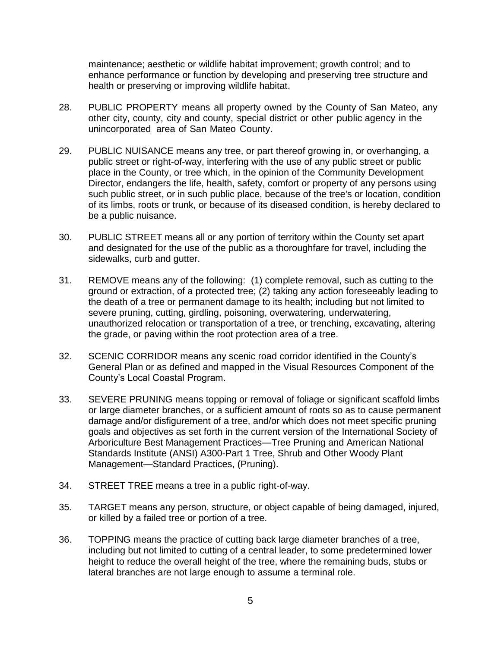maintenance; aesthetic or wildlife habitat improvement; growth control; and to enhance performance or function by developing and preserving tree structure and health or preserving or improving wildlife habitat.

- 28. PUBLIC PROPERTY means all property owned by the County of San Mateo, any other city, county, city and county, special district or other public agency in the unincorporated area of San Mateo County.
- 29. PUBLIC NUISANCE means any tree, or part thereof growing in, or overhanging, a public street or right-of-way, interfering with the use of any public street or public place in the County, or tree which, in the opinion of the Community Development Director, endangers the life, health, safety, comfort or property of any persons using such public street, or in such public place, because of the tree's or location, condition of its limbs, roots or trunk, or because of its diseased condition, is hereby declared to be a public nuisance.
- 30. PUBLIC STREET means all or any portion of territory within the County set apart and designated for the use of the public as a thoroughfare for travel, including the sidewalks, curb and gutter.
- 31. REMOVE means any of the following: (1) complete removal, such as cutting to the ground or extraction, of a protected tree; (2) taking any action foreseeably leading to the death of a tree or permanent damage to its health; including but not limited to severe pruning, cutting, girdling, poisoning, overwatering, underwatering, unauthorized relocation or transportation of a tree, or trenching, excavating, altering the grade, or paving within the root protection area of a tree.
- 32. SCENIC CORRIDOR means any scenic road corridor identified in the County's General Plan or as defined and mapped in the Visual Resources Component of the County's Local Coastal Program.
- 33. SEVERE PRUNING means topping or removal of foliage or significant scaffold limbs or large diameter branches, or a sufficient amount of roots so as to cause permanent damage and/or disfigurement of a tree, and/or which does not meet specific pruning goals and objectives as set forth in the current version of the International Society of Arboriculture Best Management Practices—Tree Pruning and American National Standards Institute (ANSI) A300-Part 1 Tree, Shrub and Other Woody Plant Management—Standard Practices, (Pruning).
- 34. STREET TREE means a tree in a public right-of-way.
- 35. TARGET means any person, structure, or object capable of being damaged, injured, or killed by a failed tree or portion of a tree.
- 36. TOPPING means the practice of cutting back large diameter branches of a tree, including but not limited to cutting of a central leader, to some predetermined lower height to reduce the overall height of the tree, where the remaining buds, stubs or lateral branches are not large enough to assume a terminal role.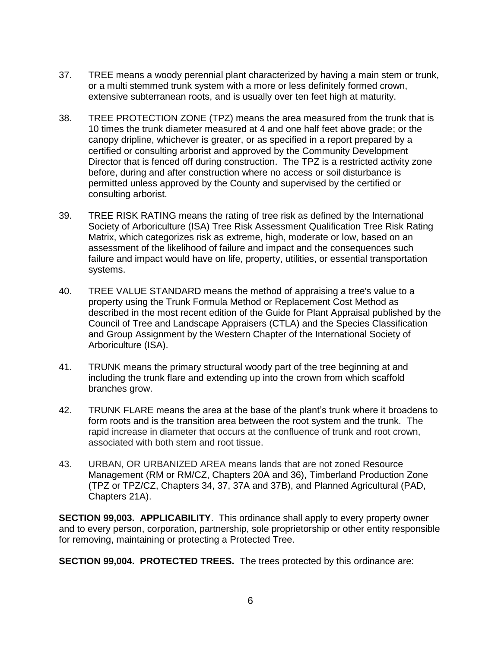- 37. TREE means a woody perennial plant characterized by having a main stem or trunk, or a multi stemmed trunk system with a more or less definitely formed crown, extensive subterranean roots, and is usually over ten feet high at maturity.
- 38. TREE PROTECTION ZONE (TPZ) means the area measured from the trunk that is 10 times the trunk diameter measured at 4 and one half feet above grade; or the canopy dripline, whichever is greater, or as specified in a report prepared by a certified or consulting arborist and approved by the Community Development Director that is fenced off during construction. The TPZ is a restricted activity zone before, during and after construction where no access or soil disturbance is permitted unless approved by the County and supervised by the certified or consulting arborist.
- 39. TREE RISK RATING means the rating of tree risk as defined by the International Society of Arboriculture (ISA) Tree Risk Assessment Qualification Tree Risk Rating Matrix, which categorizes risk as extreme, high, moderate or low, based on an assessment of the likelihood of failure and impact and the consequences such failure and impact would have on life, property, utilities, or essential transportation systems.
- 40. TREE VALUE STANDARD means the method of appraising a tree's value to a property using the Trunk Formula Method or Replacement Cost Method as described in the most recent edition of the Guide for Plant Appraisal published by the Council of Tree and Landscape Appraisers (CTLA) and the Species Classification and Group Assignment by the Western Chapter of the International Society of Arboriculture (ISA).
- 41. TRUNK means the primary structural woody part of the tree beginning at and including the trunk flare and extending up into the crown from which scaffold branches grow.
- 42. TRUNK FLARE means the area at the base of the plant's trunk where it broadens to form roots and is the transition area between the root system and the trunk. The rapid increase in diameter that occurs at the confluence of trunk and root crown, associated with both stem and root tissue.
- 43. URBAN, OR URBANIZED AREA means lands that are not zoned Resource Management (RM or RM/CZ, Chapters 20A and 36), Timberland Production Zone (TPZ or TPZ/CZ, Chapters 34, 37, 37A and 37B), and Planned Agricultural (PAD, Chapters 21A).

**SECTION 99,003. APPLICABILITY**. This ordinance shall apply to every property owner and to every person, corporation, partnership, sole proprietorship or other entity responsible for removing, maintaining or protecting a Protected Tree.

**SECTION 99,004. PROTECTED TREES.** The trees protected by this ordinance are: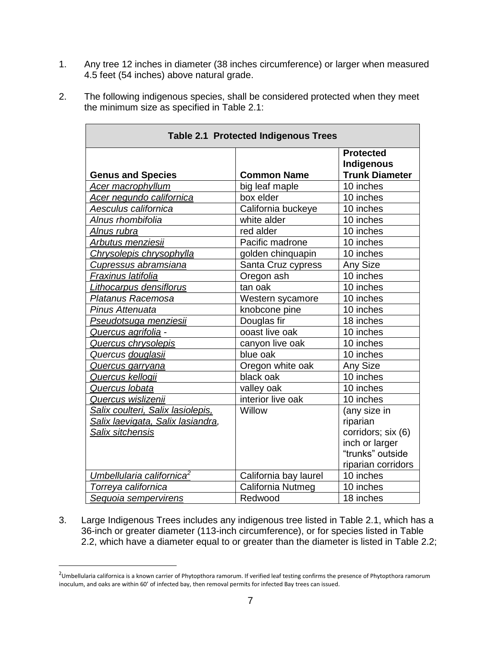- 1. Any tree 12 inches in diameter (38 inches circumference) or larger when measured 4.5 feet (54 inches) above natural grade.
- 2. The following indigenous species, shall be considered protected when they meet the minimum size as specified in Table 2.1:

| <b>Table 2.1 Protected Indigenous Trees</b> |                       |                                |  |  |
|---------------------------------------------|-----------------------|--------------------------------|--|--|
|                                             |                       | <b>Protected</b><br>Indigenous |  |  |
| <b>Genus and Species</b>                    | <b>Common Name</b>    | <b>Trunk Diameter</b>          |  |  |
| Acer macrophyllum                           | big leaf maple        | 10 inches                      |  |  |
| Acer negundo californica                    | box elder             | 10 inches                      |  |  |
| Aesculus californica                        | California buckeye    | 10 inches                      |  |  |
| Alnus rhombifolia                           | white alder           | 10 inches                      |  |  |
| <u>Alnus rubra</u>                          | red alder             | 10 inches                      |  |  |
| Arbutus menziesii                           | Pacific madrone       | 10 inches                      |  |  |
| Chrysolepis chrysophylla                    | golden chinquapin     | 10 inches                      |  |  |
| Cupressus abramsiana                        | Santa Cruz cypress    | Any Size                       |  |  |
| Fraxinus latifolia                          | Oregon ash            | 10 inches                      |  |  |
| Lithocarpus densiflorus                     | tan oak               | 10 inches                      |  |  |
| Platanus Racemosa                           | Western sycamore      | 10 inches                      |  |  |
| Pinus Attenuata                             | knobcone pine         | 10 inches                      |  |  |
| Pseudotsuga menziesii                       | Douglas fir           | 18 inches                      |  |  |
| Quercus agrifolia -                         | ooast live oak        | 10 inches                      |  |  |
| Quercus chrysolepis                         | canyon live oak       | 10 inches                      |  |  |
| Quercus douglasii                           | blue oak              | 10 inches                      |  |  |
| Quercus garryana                            | Oregon white oak      | Any Size                       |  |  |
| Quercus kellogii                            | black oak             | 10 inches                      |  |  |
| Quercus Iobata                              | valley oak            | 10 inches                      |  |  |
| Quercus wislizenii                          | interior live oak     | 10 inches                      |  |  |
| Salix coulteri, Salix lasiolepis,           | Willow                | (any size in                   |  |  |
| Salix laevigata, Salix lasiandra,           |                       | riparian                       |  |  |
| <b>Salix sitchensis</b>                     |                       | corridors; six (6)             |  |  |
|                                             |                       | inch or larger                 |  |  |
|                                             |                       | "trunks" outside               |  |  |
|                                             |                       | riparian corridors             |  |  |
| Umbellularia californica <sup>2</sup>       | California bay laurel | 10 inches                      |  |  |
| Torreya californica                         | California Nutmeg     | 10 inches                      |  |  |
| Sequoia sempervirens                        | Redwood               | 18 inches                      |  |  |

3. Large Indigenous Trees includes any indigenous tree listed in Table 2.1, which has a 36-inch or greater diameter (113-inch circumference), or for species listed in Table 2.2, which have a diameter equal to or greater than the diameter is listed in Table 2.2;

 $\overline{a}$ 

<sup>&</sup>lt;sup>2</sup>Umbellularia californica is a known carrier of Phytopthora ramorum. If verified leaf testing confirms the presence of Phytopthora ramorum inoculum, and oaks are within 60' of infected bay, then removal permits for infected Bay trees can issued.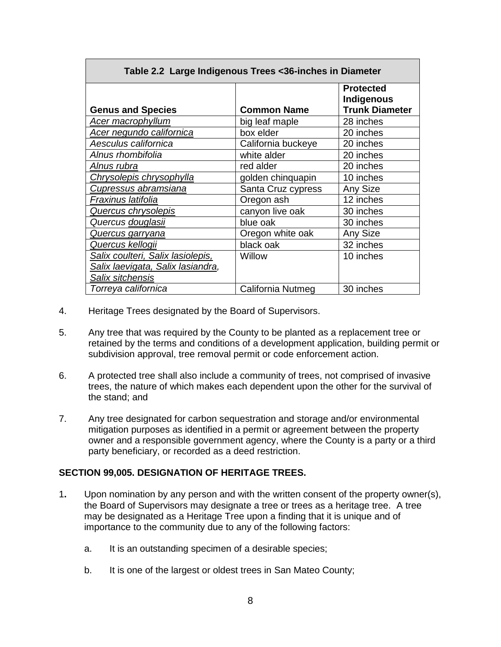| Table 2.2 Large Indigenous Trees <36-inches in Diameter |                    |                                                         |  |  |  |
|---------------------------------------------------------|--------------------|---------------------------------------------------------|--|--|--|
| <b>Genus and Species</b>                                | <b>Common Name</b> | <b>Protected</b><br>Indigenous<br><b>Trunk Diameter</b> |  |  |  |
| <b>Acer macrophyllum</b>                                | big leaf maple     | 28 inches                                               |  |  |  |
| Acer negundo californica                                | box elder          | 20 inches                                               |  |  |  |
| Aesculus californica                                    | California buckeye | 20 inches                                               |  |  |  |
| Alnus rhombifolia                                       | white alder        | 20 inches                                               |  |  |  |
| Alnus rubra                                             | red alder          | 20 inches                                               |  |  |  |
| Chrysolepis chrysophylla                                | golden chinquapin  | 10 inches                                               |  |  |  |
| <b>Cupressus abramsiana</b>                             | Santa Cruz cypress | Any Size                                                |  |  |  |
| Frax <u>inus latifolia</u>                              | Oregon ash         | 12 inches                                               |  |  |  |
| Quercus chrysolepis                                     | canyon live oak    | 30 inches                                               |  |  |  |
| Quercus douglasii                                       | blue oak           | 30 inches                                               |  |  |  |
| <u>Quercus garryana</u>                                 | Oregon white oak   | <b>Any Size</b>                                         |  |  |  |
| Quercus kellogii                                        | black oak          | 32 inches                                               |  |  |  |
| Salix coulteri, Salix lasiolepis,                       | Willow             | 10 inches                                               |  |  |  |
| Salix laevigata, Salix lasiandra,                       |                    |                                                         |  |  |  |
| <b>Salix sitchensis</b>                                 |                    |                                                         |  |  |  |
| Torreya californica                                     | California Nutmeg  | 30 inches                                               |  |  |  |

- 4. Heritage Trees designated by the Board of Supervisors.
- 5. Any tree that was required by the County to be planted as a replacement tree or retained by the terms and conditions of a development application, building permit or subdivision approval, tree removal permit or code enforcement action.
- 6. A protected tree shall also include a community of trees, not comprised of invasive trees, the nature of which makes each dependent upon the other for the survival of the stand; and
- 7. Any tree designated for carbon sequestration and storage and/or environmental mitigation purposes as identified in a permit or agreement between the property owner and a responsible government agency, where the County is a party or a third party beneficiary, or recorded as a deed restriction.

#### **SECTION 99,005. DESIGNATION OF HERITAGE TREES.**

- 1**.** Upon nomination by any person and with the written consent of the property owner(s), the Board of Supervisors may designate a tree or trees as a heritage tree. A tree may be designated as a Heritage Tree upon a finding that it is unique and of importance to the community due to any of the following factors:
	- a. It is an outstanding specimen of a desirable species;
	- b. It is one of the largest or oldest trees in San Mateo County;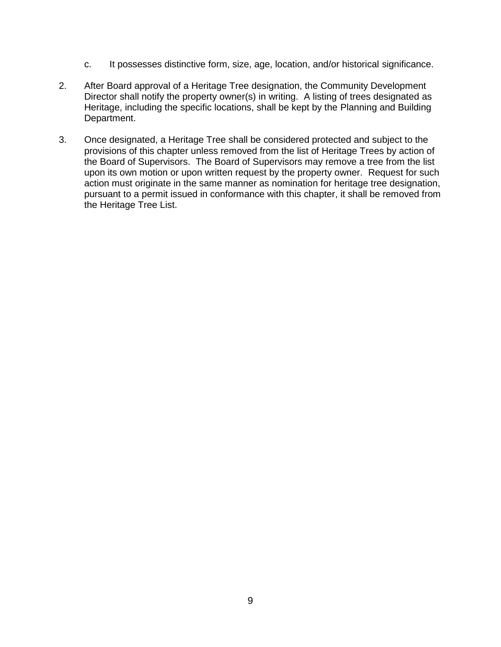- c. It possesses distinctive form, size, age, location, and/or historical significance.
- 2. After Board approval of a Heritage Tree designation, the Community Development Director shall notify the property owner(s) in writing. A listing of trees designated as Heritage, including the specific locations, shall be kept by the Planning and Building Department.
- 3. Once designated, a Heritage Tree shall be considered protected and subject to the provisions of this chapter unless removed from the list of Heritage Trees by action of the Board of Supervisors. The Board of Supervisors may remove a tree from the list upon its own motion or upon written request by the property owner. Request for such action must originate in the same manner as nomination for heritage tree designation, pursuant to a permit issued in conformance with this chapter, it shall be removed from the Heritage Tree List.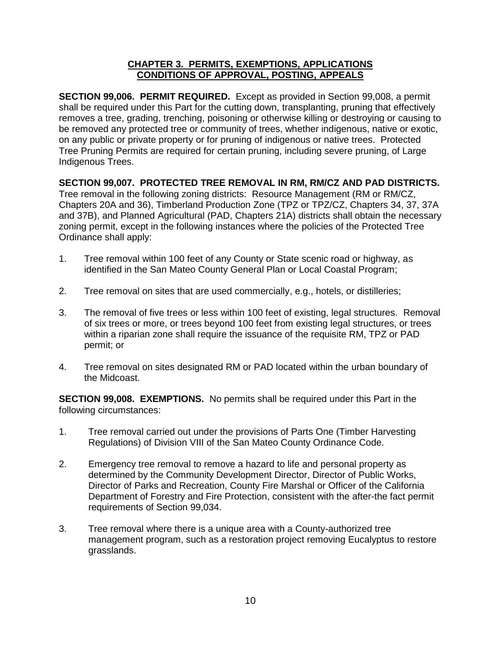#### **CHAPTER 3. PERMITS, EXEMPTIONS, APPLICATIONS CONDITIONS OF APPROVAL, POSTING, APPEALS**

**SECTION 99,006. PERMIT REQUIRED.** Except as provided in Section 99,008, a permit shall be required under this Part for the cutting down, transplanting, pruning that effectively removes a tree, grading, trenching, poisoning or otherwise killing or destroying or causing to be removed any protected tree or community of trees, whether indigenous, native or exotic, on any public or private property or for pruning of indigenous or native trees. Protected Tree Pruning Permits are required for certain pruning, including severe pruning, of Large Indigenous Trees.

### **SECTION 99,007. PROTECTED TREE REMOVAL IN RM, RM/CZ AND PAD DISTRICTS.**

Tree removal in the following zoning districts: Resource Management (RM or RM/CZ, Chapters 20A and 36), Timberland Production Zone (TPZ or TPZ/CZ, Chapters 34, 37, 37A and 37B), and Planned Agricultural (PAD, Chapters 21A) districts shall obtain the necessary zoning permit, except in the following instances where the policies of the Protected Tree Ordinance shall apply:

- 1. Tree removal within 100 feet of any County or State scenic road or highway, as identified in the San Mateo County General Plan or Local Coastal Program;
- 2. Tree removal on sites that are used commercially, e.g., hotels, or distilleries;
- 3. The removal of five trees or less within 100 feet of existing, legal structures. Removal of six trees or more, or trees beyond 100 feet from existing legal structures, or trees within a riparian zone shall require the issuance of the requisite RM, TPZ or PAD permit; or
- 4. Tree removal on sites designated RM or PAD located within the urban boundary of the Midcoast.

**SECTION 99,008. EXEMPTIONS.** No permits shall be required under this Part in the following circumstances:

- 1. Tree removal carried out under the provisions of Parts One (Timber Harvesting Regulations) of Division VIII of the San Mateo County Ordinance Code.
- 2. Emergency tree removal to remove a hazard to life and personal property as determined by the Community Development Director, Director of Public Works, Director of Parks and Recreation, County Fire Marshal or Officer of the California Department of Forestry and Fire Protection, consistent with the after-the fact permit requirements of Section 99,034.
- 3. Tree removal where there is a unique area with a County-authorized tree management program, such as a restoration project removing Eucalyptus to restore grasslands.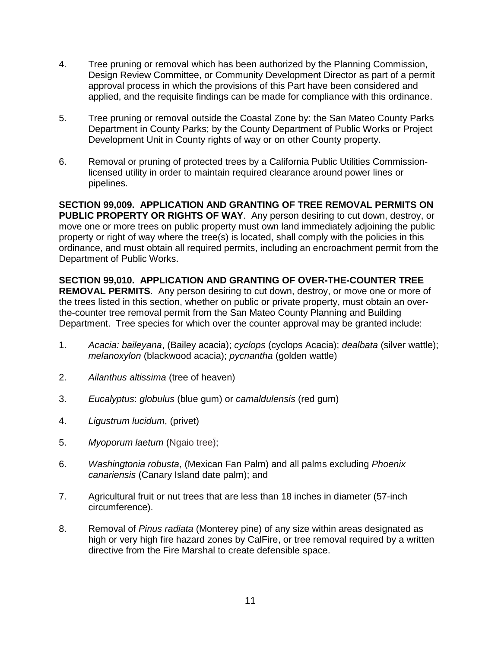- 4. Tree pruning or removal which has been authorized by the Planning Commission, Design Review Committee, or Community Development Director as part of a permit approval process in which the provisions of this Part have been considered and applied, and the requisite findings can be made for compliance with this ordinance.
- 5. Tree pruning or removal outside the Coastal Zone by: the San Mateo County Parks Department in County Parks; by the County Department of Public Works or Project Development Unit in County rights of way or on other County property.
- 6. Removal or pruning of protected trees by a California Public Utilities Commissionlicensed utility in order to maintain required clearance around power lines or pipelines.

**SECTION 99,009. APPLICATION AND GRANTING OF TREE REMOVAL PERMITS ON PUBLIC PROPERTY OR RIGHTS OF WAY**. Any person desiring to cut down, destroy, or move one or more trees on public property must own land immediately adjoining the public property or right of way where the tree(s) is located, shall comply with the policies in this ordinance, and must obtain all required permits, including an encroachment permit from the Department of Public Works.

**SECTION 99,010. APPLICATION AND GRANTING OF OVER-THE-COUNTER TREE REMOVAL PERMITS**. Any person desiring to cut down, destroy, or move one or more of the trees listed in this section, whether on public or private property, must obtain an overthe-counter tree removal permit from the San Mateo County Planning and Building Department. Tree species for which over the counter approval may be granted include:

- 1. *Acacia: baileyana*, (Bailey acacia); *cyclops* (cyclops Acacia); *dealbata* (silver wattle); *melanoxylon* (blackwood acacia); *pycnantha* (golden wattle)
- 2. *Ailanthus altissima* (tree of heaven)
- 3. *Eucalyptus*: *globulus* (blue gum) or *camaldulensis* (red gum)
- 4. *Ligustrum lucidum*, (privet)
- 5. *Myoporum laetum* (Ngaio tree);
- 6. *Washingtonia robusta*, (Mexican Fan Palm) and all palms excluding *Phoenix canariensis* (Canary Island date palm); and
- 7. Agricultural fruit or nut trees that are less than 18 inches in diameter (57-inch circumference).
- 8. Removal of *Pinus radiata* (Monterey pine) of any size within areas designated as high or very high fire hazard zones by CalFire, or tree removal required by a written directive from the Fire Marshal to create defensible space.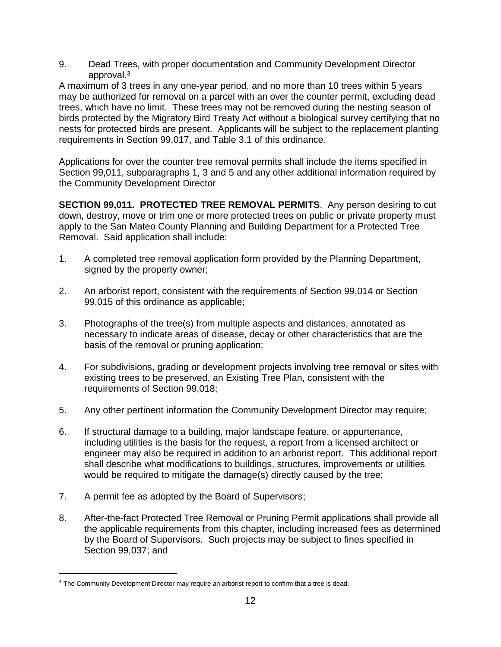9. Dead Trees, with proper documentation and Community Development Director approval. 3

A maximum of 3 trees in any one-year period, and no more than 10 trees within 5 years may be authorized for removal on a parcel with an over the counter permit, excluding dead trees, which have no limit. These trees may not be removed during the nesting season of birds protected by the Migratory Bird Treaty Act without a biological survey certifying that no nests for protected birds are present. Applicants will be subject to the replacement planting requirements in Section 99,017, and Table 3.1 of this ordinance.

Applications for over the counter tree removal permits shall include the items specified in Section 99,011, subparagraphs 1, 3 and 5 and any other additional information required by the Community Development Director

**SECTION 99,011. PROTECTED TREE REMOVAL PERMITS**. Any person desiring to cut down, destroy, move or trim one or more protected trees on public or private property must apply to the San Mateo County Planning and Building Department for a Protected Tree Removal. Said application shall include:

- 1. A completed tree removal application form provided by the Planning Department, signed by the property owner;
- 2. An arborist report, consistent with the requirements of Section 99,014 or Section 99,015 of this ordinance as applicable;
- 3. Photographs of the tree(s) from multiple aspects and distances, annotated as necessary to indicate areas of disease, decay or other characteristics that are the basis of the removal or pruning application;
- 4. For subdivisions, grading or development projects involving tree removal or sites with existing trees to be preserved, an Existing Tree Plan, consistent with the requirements of Section 99,018;
- 5. Any other pertinent information the Community Development Director may require;
- 6. If structural damage to a building, major landscape feature, or appurtenance, including utilities is the basis for the request, a report from a licensed architect or engineer may also be required in addition to an arborist report. This additional report shall describe what modifications to buildings, structures, improvements or utilities would be required to mitigate the damage(s) directly caused by the tree;
- 7. A permit fee as adopted by the Board of Supervisors;

 $\overline{a}$ 

8. After-the-fact Protected Tree Removal or Pruning Permit applications shall provide all the applicable requirements from this chapter, including increased fees as determined by the Board of Supervisors. Such projects may be subject to fines specified in Section 99,037; and

<sup>&</sup>lt;sup>3</sup> The Community Development Director may require an arborist report to confirm that a tree is dead.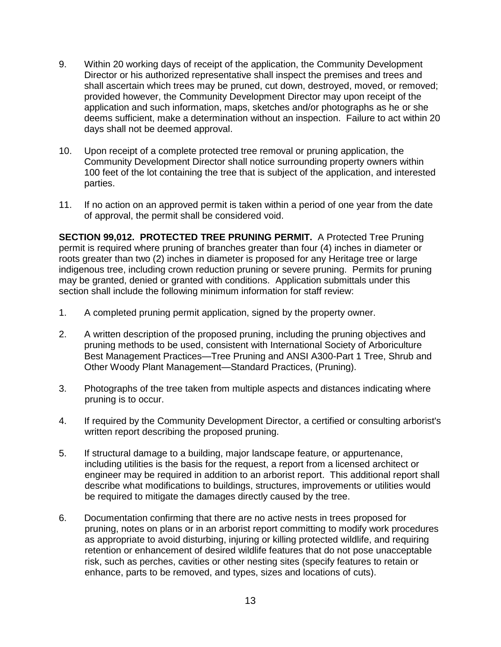- 9. Within 20 working days of receipt of the application, the Community Development Director or his authorized representative shall inspect the premises and trees and shall ascertain which trees may be pruned, cut down, destroyed, moved, or removed; provided however, the Community Development Director may upon receipt of the application and such information, maps, sketches and/or photographs as he or she deems sufficient, make a determination without an inspection. Failure to act within 20 days shall not be deemed approval.
- 10. Upon receipt of a complete protected tree removal or pruning application, the Community Development Director shall notice surrounding property owners within 100 feet of the lot containing the tree that is subject of the application, and interested parties.
- 11. If no action on an approved permit is taken within a period of one year from the date of approval, the permit shall be considered void.

**SECTION 99,012. PROTECTED TREE PRUNING PERMIT.** A Protected Tree Pruning permit is required where pruning of branches greater than four (4) inches in diameter or roots greater than two (2) inches in diameter is proposed for any Heritage tree or large indigenous tree, including crown reduction pruning or severe pruning. Permits for pruning may be granted, denied or granted with conditions. Application submittals under this section shall include the following minimum information for staff review:

- 1. A completed pruning permit application, signed by the property owner.
- 2. A written description of the proposed pruning, including the pruning objectives and pruning methods to be used, consistent with International Society of Arboriculture Best Management Practices—Tree Pruning and ANSI A300-Part 1 Tree, Shrub and Other Woody Plant Management—Standard Practices, (Pruning).
- 3. Photographs of the tree taken from multiple aspects and distances indicating where pruning is to occur.
- 4. If required by the Community Development Director, a certified or consulting arborist's written report describing the proposed pruning.
- 5. If structural damage to a building, major landscape feature, or appurtenance, including utilities is the basis for the request, a report from a licensed architect or engineer may be required in addition to an arborist report. This additional report shall describe what modifications to buildings, structures, improvements or utilities would be required to mitigate the damages directly caused by the tree.
- 6. Documentation confirming that there are no active nests in trees proposed for pruning, notes on plans or in an arborist report committing to modify work procedures as appropriate to avoid disturbing, injuring or killing protected wildlife, and requiring retention or enhancement of desired wildlife features that do not pose unacceptable risk, such as perches, cavities or other nesting sites (specify features to retain or enhance, parts to be removed, and types, sizes and locations of cuts).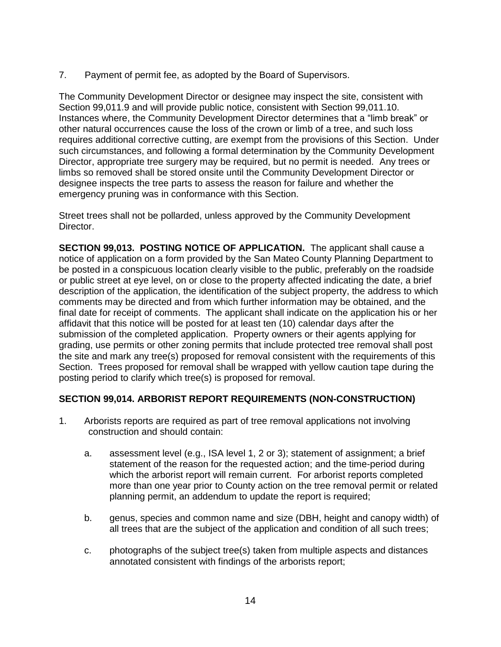7. Payment of permit fee, as adopted by the Board of Supervisors.

The Community Development Director or designee may inspect the site, consistent with Section 99,011.9 and will provide public notice, consistent with Section 99,011.10. Instances where, the Community Development Director determines that a "limb break" or other natural occurrences cause the loss of the crown or limb of a tree, and such loss requires additional corrective cutting, are exempt from the provisions of this Section. Under such circumstances, and following a formal determination by the Community Development Director, appropriate tree surgery may be required, but no permit is needed. Any trees or limbs so removed shall be stored onsite until the Community Development Director or designee inspects the tree parts to assess the reason for failure and whether the emergency pruning was in conformance with this Section.

Street trees shall not be pollarded, unless approved by the Community Development Director.

**SECTION 99,013. POSTING NOTICE OF APPLICATION.** The applicant shall cause a notice of application on a form provided by the San Mateo County Planning Department to be posted in a conspicuous location clearly visible to the public, preferably on the roadside or public street at eye level, on or close to the property affected indicating the date, a brief description of the application, the identification of the subject property, the address to which comments may be directed and from which further information may be obtained, and the final date for receipt of comments. The applicant shall indicate on the application his or her affidavit that this notice will be posted for at least ten (10) calendar days after the submission of the completed application. Property owners or their agents applying for grading, use permits or other zoning permits that include protected tree removal shall post the site and mark any tree(s) proposed for removal consistent with the requirements of this Section. Trees proposed for removal shall be wrapped with yellow caution tape during the posting period to clarify which tree(s) is proposed for removal.

### **SECTION 99,014. ARBORIST REPORT REQUIREMENTS (NON-CONSTRUCTION)**

- 1. Arborists reports are required as part of tree removal applications not involving construction and should contain:
	- a. assessment level (e.g., ISA level 1, 2 or 3); statement of assignment; a brief statement of the reason for the requested action; and the time-period during which the arborist report will remain current. For arborist reports completed more than one year prior to County action on the tree removal permit or related planning permit, an addendum to update the report is required;
	- b. genus, species and common name and size (DBH, height and canopy width) of all trees that are the subject of the application and condition of all such trees;
	- c. photographs of the subject tree(s) taken from multiple aspects and distances annotated consistent with findings of the arborists report;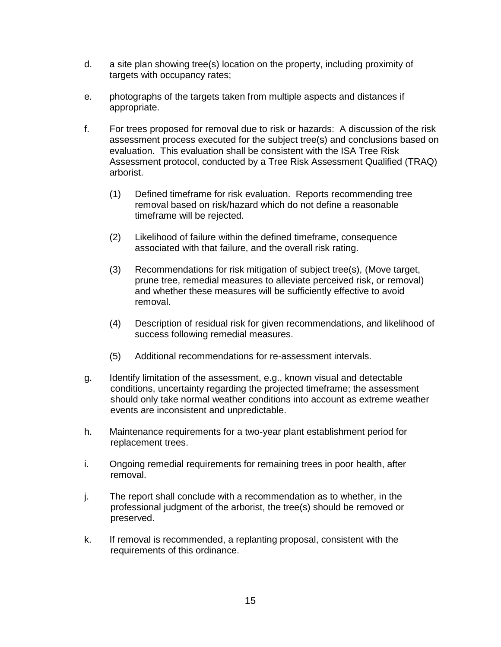- d. a site plan showing tree(s) location on the property, including proximity of targets with occupancy rates;
- e. photographs of the targets taken from multiple aspects and distances if appropriate.
- f. For trees proposed for removal due to risk or hazards: A discussion of the risk assessment process executed for the subject tree(s) and conclusions based on evaluation. This evaluation shall be consistent with the ISA Tree Risk Assessment protocol, conducted by a Tree Risk Assessment Qualified (TRAQ) arborist.
	- (1) Defined timeframe for risk evaluation. Reports recommending tree removal based on risk/hazard which do not define a reasonable timeframe will be rejected.
	- (2) Likelihood of failure within the defined timeframe, consequence associated with that failure, and the overall risk rating.
	- (3) Recommendations for risk mitigation of subject tree(s), (Move target, prune tree, remedial measures to alleviate perceived risk, or removal) and whether these measures will be sufficiently effective to avoid removal.
	- (4) Description of residual risk for given recommendations, and likelihood of success following remedial measures.
	- (5) Additional recommendations for re-assessment intervals.
- g. Identify limitation of the assessment, e.g., known visual and detectable conditions, uncertainty regarding the projected timeframe; the assessment should only take normal weather conditions into account as extreme weather events are inconsistent and unpredictable.
- h. Maintenance requirements for a two-year plant establishment period for replacement trees.
- i. Ongoing remedial requirements for remaining trees in poor health, after removal.
- j. The report shall conclude with a recommendation as to whether, in the professional judgment of the arborist, the tree(s) should be removed or preserved.
- k. If removal is recommended, a replanting proposal, consistent with the requirements of this ordinance.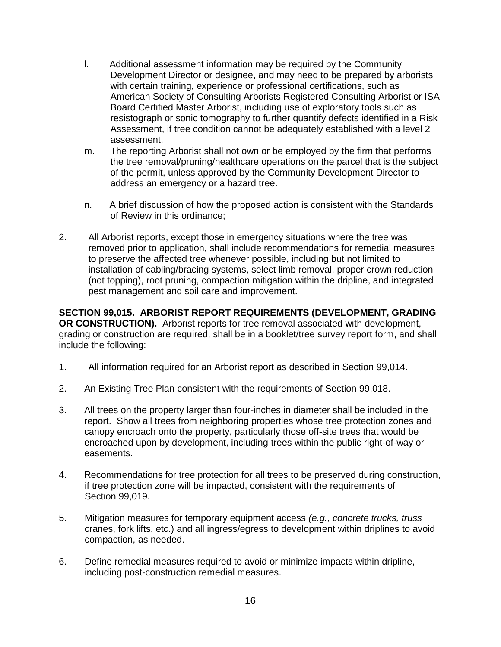- l. Additional assessment information may be required by the Community Development Director or designee, and may need to be prepared by arborists with certain training, experience or professional certifications, such as American Society of Consulting Arborists Registered Consulting Arborist or ISA Board Certified Master Arborist, including use of exploratory tools such as resistograph or sonic tomography to further quantify defects identified in a Risk Assessment, if tree condition cannot be adequately established with a level 2 assessment.
- m. The reporting Arborist shall not own or be employed by the firm that performs the tree removal/pruning/healthcare operations on the parcel that is the subject of the permit, unless approved by the Community Development Director to address an emergency or a hazard tree.
- n. A brief discussion of how the proposed action is consistent with the Standards of Review in this ordinance;
- 2. All Arborist reports, except those in emergency situations where the tree was removed prior to application, shall include recommendations for remedial measures to preserve the affected tree whenever possible, including but not limited to installation of cabling/bracing systems, select limb removal, proper crown reduction (not topping), root pruning, compaction mitigation within the dripline, and integrated pest management and soil care and improvement.

**SECTION 99,015. ARBORIST REPORT REQUIREMENTS (DEVELOPMENT, GRADING OR CONSTRUCTION).** Arborist reports for tree removal associated with development, grading or construction are required, shall be in a booklet/tree survey report form, and shall include the following:

- 1. All information required for an Arborist report as described in Section 99,014.
- 2. An Existing Tree Plan consistent with the requirements of Section 99,018.
- 3. All trees on the property larger than four-inches in diameter shall be included in the report. Show all trees from neighboring properties whose tree protection zones and canopy encroach onto the property, particularly those off-site trees that would be encroached upon by development, including trees within the public right-of-way or easements.
- 4. Recommendations for tree protection for all trees to be preserved during construction, if tree protection zone will be impacted, consistent with the requirements of Section 99,019.
- 5. Mitigation measures for temporary equipment access *(e.g., concrete trucks, truss* cranes, fork lifts, etc.) and all ingress/egress to development within driplines to avoid compaction, as needed.
- 6. Define remedial measures required to avoid or minimize impacts within dripline, including post-construction remedial measures.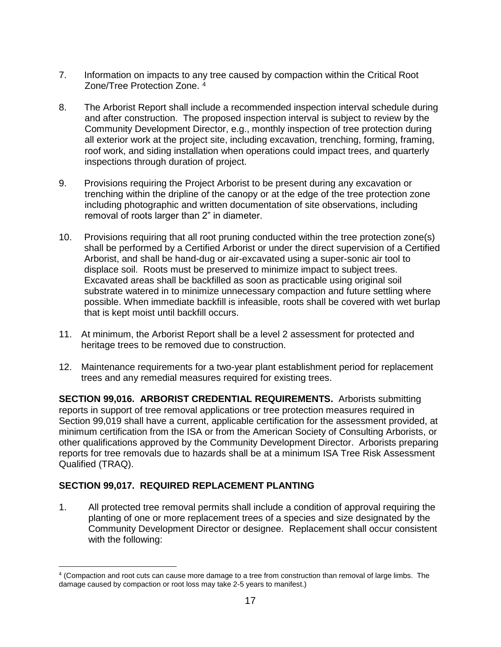- 7. Information on impacts to any tree caused by compaction within the Critical Root Zone/Tree Protection Zone. <sup>4</sup>
- 8. The Arborist Report shall include a recommended inspection interval schedule during and after construction. The proposed inspection interval is subject to review by the Community Development Director, e.g., monthly inspection of tree protection during all exterior work at the project site, including excavation, trenching, forming, framing, roof work, and siding installation when operations could impact trees, and quarterly inspections through duration of project.
- 9. Provisions requiring the Project Arborist to be present during any excavation or trenching within the dripline of the canopy or at the edge of the tree protection zone including photographic and written documentation of site observations, including removal of roots larger than 2" in diameter.
- 10. Provisions requiring that all root pruning conducted within the tree protection zone(s) shall be performed by a Certified Arborist or under the direct supervision of a Certified Arborist, and shall be hand-dug or air-excavated using a super-sonic air tool to displace soil. Roots must be preserved to minimize impact to subject trees. Excavated areas shall be backfilled as soon as practicable using original soil substrate watered in to minimize unnecessary compaction and future settling where possible. When immediate backfill is infeasible, roots shall be covered with wet burlap that is kept moist until backfill occurs.
- 11. At minimum, the Arborist Report shall be a level 2 assessment for protected and heritage trees to be removed due to construction.
- 12. Maintenance requirements for a two-year plant establishment period for replacement trees and any remedial measures required for existing trees.

**SECTION 99,016. ARBORIST CREDENTIAL REQUIREMENTS.** Arborists submitting reports in support of tree removal applications or tree protection measures required in Section 99,019 shall have a current, applicable certification for the assessment provided, at minimum certification from the ISA or from the American Society of Consulting Arborists, or other qualifications approved by the Community Development Director. Arborists preparing reports for tree removals due to hazards shall be at a minimum ISA Tree Risk Assessment Qualified (TRAQ).

### **SECTION 99,017. REQUIRED REPLACEMENT PLANTING**

 $\overline{a}$ 

1. All protected tree removal permits shall include a condition of approval requiring the planting of one or more replacement trees of a species and size designated by the Community Development Director or designee. Replacement shall occur consistent with the following:

<sup>4</sup> (Compaction and root cuts can cause more damage to a tree from construction than removal of large limbs. The damage caused by compaction or root loss may take 2-5 years to manifest.)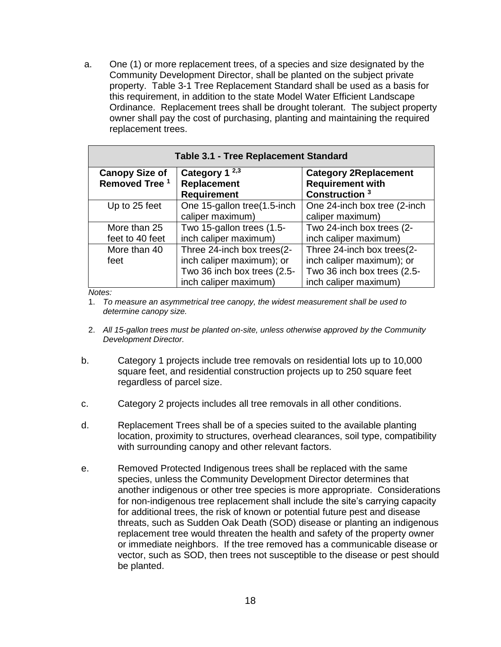a. One (1) or more replacement trees, of a species and size designated by the Community Development Director, shall be planted on the subject private property. Table 3-1 Tree Replacement Standard shall be used as a basis for this requirement, in addition to the state Model Water Efficient Landscape Ordinance. Replacement trees shall be drought tolerant. The subject property owner shall pay the cost of purchasing, planting and maintaining the required replacement trees.

| <b>Table 3.1 - Tree Replacement Standard</b>       |                                   |                                                      |  |  |
|----------------------------------------------------|-----------------------------------|------------------------------------------------------|--|--|
| <b>Canopy Size of</b><br>Removed Tree <sup>1</sup> | Category 1 $2,3$                  | <b>Category 2Replacement</b>                         |  |  |
|                                                    | Replacement<br><b>Requirement</b> | <b>Requirement with</b><br>Construction <sup>3</sup> |  |  |
| Up to 25 feet                                      | One 15-gallon tree(1.5-inch       | One 24-inch box tree (2-inch                         |  |  |
|                                                    | caliper maximum)                  | caliper maximum)                                     |  |  |
| More than 25                                       | Two 15-gallon trees (1.5-         | Two 24-inch box trees (2-                            |  |  |
| feet to 40 feet                                    | inch caliper maximum)             | inch caliper maximum)                                |  |  |
| More than 40                                       | Three 24-inch box trees(2-        | Three 24-inch box trees(2-                           |  |  |
| feet                                               | inch caliper maximum); or         | inch caliper maximum); or                            |  |  |
|                                                    | Two 36 inch box trees (2.5-       | Two 36 inch box trees (2.5-                          |  |  |
|                                                    | inch caliper maximum)             | inch caliper maximum)                                |  |  |

*Notes:*

1. *To measure an asymmetrical tree canopy, the widest measurement shall be used to determine canopy size.* 

- 2. *All 15-gallon trees must be planted on-site, unless otherwise approved by the Community Development Director.*
- b. Category 1 projects include tree removals on residential lots up to 10,000 square feet, and residential construction projects up to 250 square feet regardless of parcel size.
- c. Category 2 projects includes all tree removals in all other conditions.
- d. Replacement Trees shall be of a species suited to the available planting location, proximity to structures, overhead clearances, soil type, compatibility with surrounding canopy and other relevant factors.
- e. Removed Protected Indigenous trees shall be replaced with the same species, unless the Community Development Director determines that another indigenous or other tree species is more appropriate. Considerations for non-indigenous tree replacement shall include the site's carrying capacity for additional trees, the risk of known or potential future pest and disease threats, such as Sudden Oak Death (SOD) disease or planting an indigenous replacement tree would threaten the health and safety of the property owner or immediate neighbors. If the tree removed has a communicable disease or vector, such as SOD, then trees not susceptible to the disease or pest should be planted.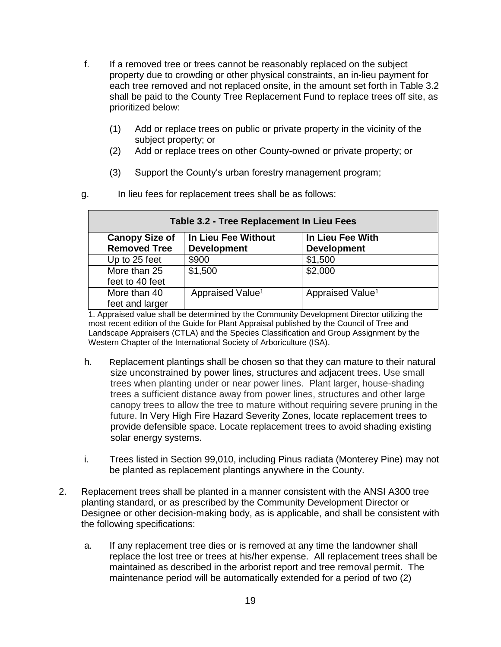- f. If a removed tree or trees cannot be reasonably replaced on the subject property due to crowding or other physical constraints, an in-lieu payment for each tree removed and not replaced onsite, in the amount set forth in Table 3.2 shall be paid to the County Tree Replacement Fund to replace trees off site, as prioritized below:
	- (1) Add or replace trees on public or private property in the vicinity of the subject property; or
	- (2) Add or replace trees on other County-owned or private property; or
	- (3) Support the County's urban forestry management program;

| Table 3.2 - Tree Replacement In Lieu Fees |                              |                              |  |
|-------------------------------------------|------------------------------|------------------------------|--|
| <b>Canopy Size of</b>                     | In Lieu Fee Without          | In Lieu Fee With             |  |
| <b>Removed Tree</b>                       | <b>Development</b>           | <b>Development</b>           |  |
| Up to 25 feet                             | \$900                        | \$1,500                      |  |
| More than 25                              | \$1,500                      | \$2,000                      |  |
| feet to 40 feet                           |                              |                              |  |
| More than 40                              | Appraised Value <sup>1</sup> | Appraised Value <sup>1</sup> |  |
| feet and larger                           |                              |                              |  |

1. Appraised value shall be determined by the Community Development Director utilizing the most recent edition of the Guide for Plant Appraisal published by the Council of Tree and Landscape Appraisers (CTLA) and the Species Classification and Group Assignment by the Western Chapter of the International Society of Arboriculture (ISA).

- h. Replacement plantings shall be chosen so that they can mature to their natural size unconstrained by power lines, structures and adjacent trees. Use small trees when planting under or near power lines. Plant larger, house-shading trees a sufficient distance away from power lines, structures and other large canopy trees to allow the tree to mature without requiring severe pruning in the future. In Very High Fire Hazard Severity Zones, locate replacement trees to provide defensible space. Locate replacement trees to avoid shading existing solar energy systems.
- i. Trees listed in Section 99,010, including Pinus radiata (Monterey Pine) may not be planted as replacement plantings anywhere in the County.
- 2. Replacement trees shall be planted in a manner consistent with the ANSI A300 tree planting standard, or as prescribed by the Community Development Director or Designee or other decision-making body, as is applicable, and shall be consistent with the following specifications:
	- a. If any replacement tree dies or is removed at any time the landowner shall replace the lost tree or trees at his/her expense. All replacement trees shall be maintained as described in the arborist report and tree removal permit. The maintenance period will be automatically extended for a period of two (2)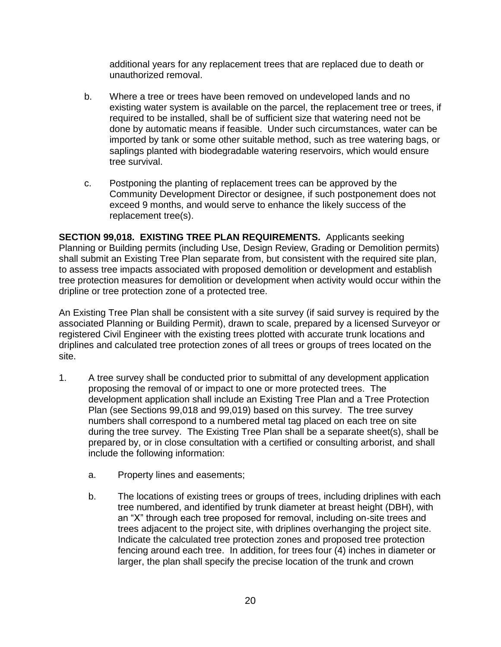additional years for any replacement trees that are replaced due to death or unauthorized removal.

- b. Where a tree or trees have been removed on undeveloped lands and no existing water system is available on the parcel, the replacement tree or trees, if required to be installed, shall be of sufficient size that watering need not be done by automatic means if feasible. Under such circumstances, water can be imported by tank or some other suitable method, such as tree watering bags, or saplings planted with biodegradable watering reservoirs, which would ensure tree survival.
- c. Postponing the planting of replacement trees can be approved by the Community Development Director or designee, if such postponement does not exceed 9 months, and would serve to enhance the likely success of the replacement tree(s).

**SECTION 99,018. EXISTING TREE PLAN REQUIREMENTS.** Applicants seeking Planning or Building permits (including Use, Design Review, Grading or Demolition permits) shall submit an Existing Tree Plan separate from, but consistent with the required site plan, to assess tree impacts associated with proposed demolition or development and establish tree protection measures for demolition or development when activity would occur within the dripline or tree protection zone of a protected tree.

An Existing Tree Plan shall be consistent with a site survey (if said survey is required by the associated Planning or Building Permit), drawn to scale, prepared by a licensed Surveyor or registered Civil Engineer with the existing trees plotted with accurate trunk locations and driplines and calculated tree protection zones of all trees or groups of trees located on the site.

- 1. A tree survey shall be conducted prior to submittal of any development application proposing the removal of or impact to one or more protected trees. The development application shall include an Existing Tree Plan and a Tree Protection Plan (see Sections 99,018 and 99,019) based on this survey. The tree survey numbers shall correspond to a numbered metal tag placed on each tree on site during the tree survey. The Existing Tree Plan shall be a separate sheet(s), shall be prepared by, or in close consultation with a certified or consulting arborist, and shall include the following information:
	- a. Property lines and easements;
	- b. The locations of existing trees or groups of trees, including driplines with each tree numbered, and identified by trunk diameter at breast height (DBH), with an "X" through each tree proposed for removal, including on-site trees and trees adjacent to the project site, with driplines overhanging the project site. Indicate the calculated tree protection zones and proposed tree protection fencing around each tree. In addition, for trees four (4) inches in diameter or larger, the plan shall specify the precise location of the trunk and crown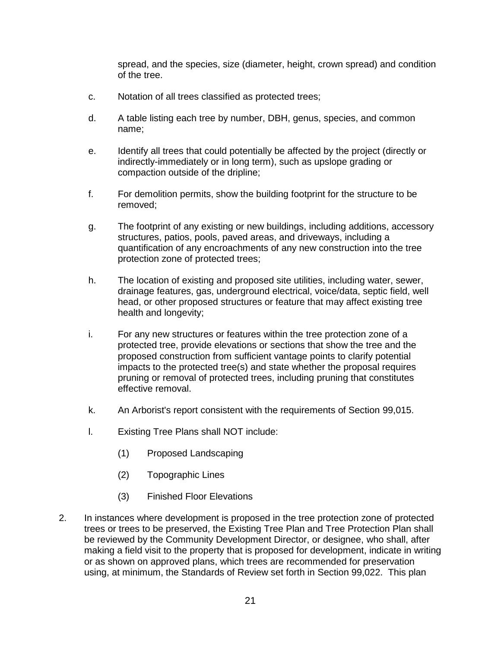spread, and the species, size (diameter, height, crown spread) and condition of the tree.

- c. Notation of all trees classified as protected trees;
- d. A table listing each tree by number, DBH, genus, species, and common name;
- e. Identify all trees that could potentially be affected by the project (directly or indirectly-immediately or in long term), such as upslope grading or compaction outside of the dripline;
- f. For demolition permits, show the building footprint for the structure to be removed;
- g. The footprint of any existing or new buildings, including additions, accessory structures, patios, pools, paved areas, and driveways, including a quantification of any encroachments of any new construction into the tree protection zone of protected trees;
- h. The location of existing and proposed site utilities, including water, sewer, drainage features, gas, underground electrical, voice/data, septic field, well head, or other proposed structures or feature that may affect existing tree health and longevity;
- i. For any new structures or features within the tree protection zone of a protected tree, provide elevations or sections that show the tree and the proposed construction from sufficient vantage points to clarify potential impacts to the protected tree(s) and state whether the proposal requires pruning or removal of protected trees, including pruning that constitutes effective removal.
- k. An Arborist's report consistent with the requirements of Section 99,015.
- l. Existing Tree Plans shall NOT include:
	- (1) Proposed Landscaping
	- (2) Topographic Lines
	- (3) Finished Floor Elevations
- 2. In instances where development is proposed in the tree protection zone of protected trees or trees to be preserved, the Existing Tree Plan and Tree Protection Plan shall be reviewed by the Community Development Director, or designee, who shall, after making a field visit to the property that is proposed for development, indicate in writing or as shown on approved plans, which trees are recommended for preservation using, at minimum, the Standards of Review set forth in Section 99,022. This plan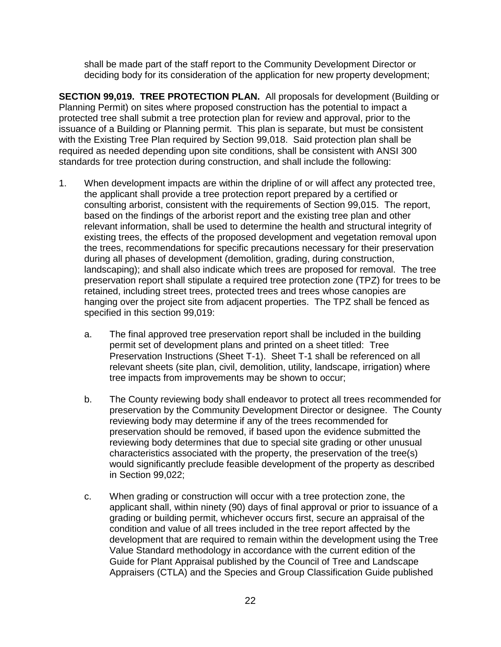shall be made part of the staff report to the Community Development Director or deciding body for its consideration of the application for new property development;

**SECTION 99,019. TREE PROTECTION PLAN.** All proposals for development (Building or Planning Permit) on sites where proposed construction has the potential to impact a protected tree shall submit a tree protection plan for review and approval, prior to the issuance of a Building or Planning permit. This plan is separate, but must be consistent with the Existing Tree Plan required by Section 99,018. Said protection plan shall be required as needed depending upon site conditions, shall be consistent with ANSI 300 standards for tree protection during construction, and shall include the following:

- 1. When development impacts are within the dripline of or will affect any protected tree, the applicant shall provide a tree protection report prepared by a certified or consulting arborist, consistent with the requirements of Section 99,015. The report, based on the findings of the arborist report and the existing tree plan and other relevant information, shall be used to determine the health and structural integrity of existing trees, the effects of the proposed development and vegetation removal upon the trees, recommendations for specific precautions necessary for their preservation during all phases of development (demolition, grading, during construction, landscaping); and shall also indicate which trees are proposed for removal. The tree preservation report shall stipulate a required tree protection zone (TPZ) for trees to be retained, including street trees, protected trees and trees whose canopies are hanging over the project site from adjacent properties. The TPZ shall be fenced as specified in this section 99,019:
	- a. The final approved tree preservation report shall be included in the building permit set of development plans and printed on a sheet titled: Tree Preservation Instructions (Sheet T-1). Sheet T-1 shall be referenced on all relevant sheets (site plan, civil, demolition, utility, landscape, irrigation) where tree impacts from improvements may be shown to occur;
	- b. The County reviewing body shall endeavor to protect all trees recommended for preservation by the Community Development Director or designee. The County reviewing body may determine if any of the trees recommended for preservation should be removed, if based upon the evidence submitted the reviewing body determines that due to special site grading or other unusual characteristics associated with the property, the preservation of the tree(s) would significantly preclude feasible development of the property as described in Section 99,022;
	- c. When grading or construction will occur with a tree protection zone, the applicant shall, within ninety (90) days of final approval or prior to issuance of a grading or building permit, whichever occurs first, secure an appraisal of the condition and value of all trees included in the tree report affected by the development that are required to remain within the development using the Tree Value Standard methodology in accordance with the current edition of the Guide for Plant Appraisal published by the Council of Tree and Landscape Appraisers (CTLA) and the Species and Group Classification Guide published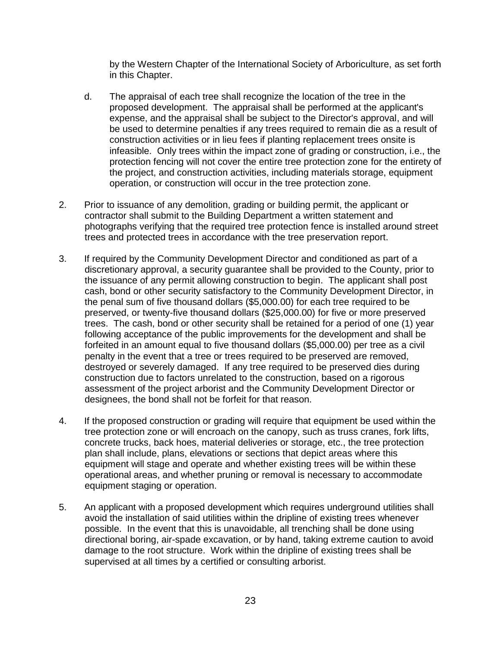by the Western Chapter of the International Society of Arboriculture, as set forth in this Chapter.

- d. The appraisal of each tree shall recognize the location of the tree in the proposed development. The appraisal shall be performed at the applicant's expense, and the appraisal shall be subject to the Director's approval, and will be used to determine penalties if any trees required to remain die as a result of construction activities or in lieu fees if planting replacement trees onsite is infeasible. Only trees within the impact zone of grading or construction, i.e., the protection fencing will not cover the entire tree protection zone for the entirety of the project, and construction activities, including materials storage, equipment operation, or construction will occur in the tree protection zone.
- 2. Prior to issuance of any demolition, grading or building permit, the applicant or contractor shall submit to the Building Department a written statement and photographs verifying that the required tree protection fence is installed around street trees and protected trees in accordance with the tree preservation report.
- 3. If required by the Community Development Director and conditioned as part of a discretionary approval, a security guarantee shall be provided to the County, prior to the issuance of any permit allowing construction to begin. The applicant shall post cash, bond or other security satisfactory to the Community Development Director, in the penal sum of five thousand dollars (\$5,000.00) for each tree required to be preserved, or twenty-five thousand dollars (\$25,000.00) for five or more preserved trees. The cash, bond or other security shall be retained for a period of one (1) year following acceptance of the public improvements for the development and shall be forfeited in an amount equal to five thousand dollars (\$5,000.00) per tree as a civil penalty in the event that a tree or trees required to be preserved are removed, destroyed or severely damaged. If any tree required to be preserved dies during construction due to factors unrelated to the construction, based on a rigorous assessment of the project arborist and the Community Development Director or designees, the bond shall not be forfeit for that reason.
- 4. If the proposed construction or grading will require that equipment be used within the tree protection zone or will encroach on the canopy, such as truss cranes, fork lifts, concrete trucks, back hoes, material deliveries or storage, etc., the tree protection plan shall include, plans, elevations or sections that depict areas where this equipment will stage and operate and whether existing trees will be within these operational areas, and whether pruning or removal is necessary to accommodate equipment staging or operation.
- 5. An applicant with a proposed development which requires underground utilities shall avoid the installation of said utilities within the dripline of existing trees whenever possible. In the event that this is unavoidable, all trenching shall be done using directional boring, air-spade excavation, or by hand, taking extreme caution to avoid damage to the root structure. Work within the dripline of existing trees shall be supervised at all times by a certified or consulting arborist.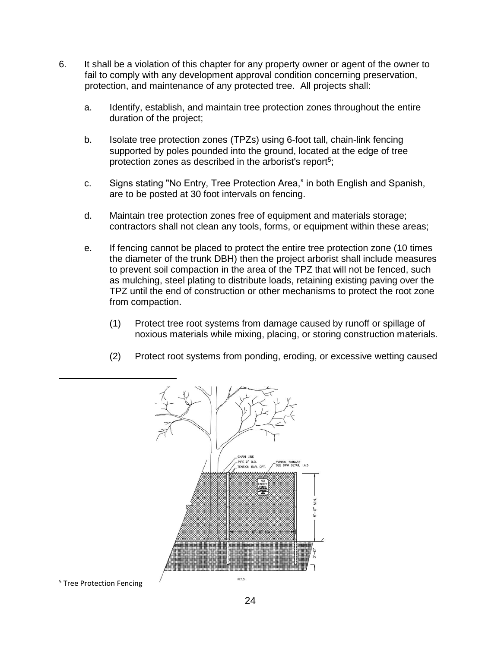- 6. It shall be a violation of this chapter for any property owner or agent of the owner to fail to comply with any development approval condition concerning preservation, protection, and maintenance of any protected tree. All projects shall:
	- a. Identify, establish, and maintain tree protection zones throughout the entire duration of the project;
	- b. Isolate tree protection zones (TPZs) using 6-foot tall, chain-link fencing supported by poles pounded into the ground, located at the edge of tree protection zones as described in the arborist's report<sup>5</sup>;
	- c. Signs stating "No Entry, Tree Protection Area," in both English and Spanish, are to be posted at 30 foot intervals on fencing.
	- d. Maintain tree protection zones free of equipment and materials storage; contractors shall not clean any tools, forms, or equipment within these areas;
	- e. If fencing cannot be placed to protect the entire tree protection zone (10 times the diameter of the trunk DBH) then the project arborist shall include measures to prevent soil compaction in the area of the TPZ that will not be fenced, such as mulching, steel plating to distribute loads, retaining existing paving over the TPZ until the end of construction or other mechanisms to protect the root zone from compaction.
		- (1) Protect tree root systems from damage caused by runoff or spillage of noxious materials while mixing, placing, or storing construction materials.
		- (2) Protect root systems from ponding, eroding, or excessive wetting caused



<sup>5</sup> Tree Protection Fencing

 $\overline{a}$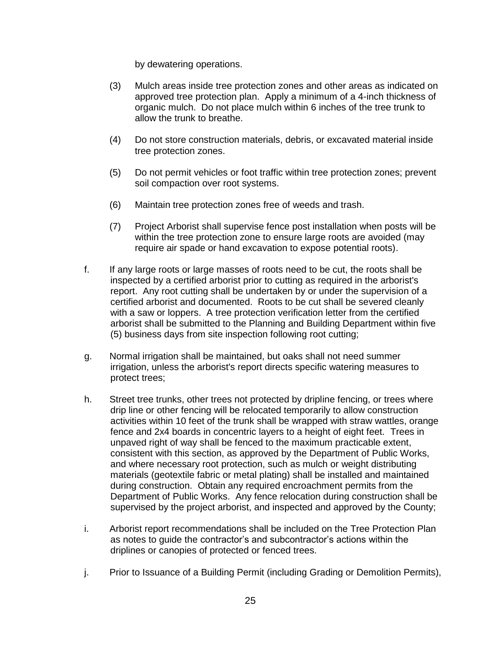by dewatering operations.

- (3) Mulch areas inside tree protection zones and other areas as indicated on approved tree protection plan. Apply a minimum of a 4-inch thickness of organic mulch. Do not place mulch within 6 inches of the tree trunk to allow the trunk to breathe.
- (4) Do not store construction materials, debris, or excavated material inside tree protection zones.
- (5) Do not permit vehicles or foot traffic within tree protection zones; prevent soil compaction over root systems.
- (6) Maintain tree protection zones free of weeds and trash.
- (7) Project Arborist shall supervise fence post installation when posts will be within the tree protection zone to ensure large roots are avoided (may require air spade or hand excavation to expose potential roots).
- f. If any large roots or large masses of roots need to be cut, the roots shall be inspected by a certified arborist prior to cutting as required in the arborist's report. Any root cutting shall be undertaken by or under the supervision of a certified arborist and documented. Roots to be cut shall be severed cleanly with a saw or loppers. A tree protection verification letter from the certified arborist shall be submitted to the Planning and Building Department within five (5) business days from site inspection following root cutting;
- g. Normal irrigation shall be maintained, but oaks shall not need summer irrigation, unless the arborist's report directs specific watering measures to protect trees;
- h. Street tree trunks, other trees not protected by dripline fencing, or trees where drip line or other fencing will be relocated temporarily to allow construction activities within 10 feet of the trunk shall be wrapped with straw wattles, orange fence and 2x4 boards in concentric layers to a height of eight feet. Trees in unpaved right of way shall be fenced to the maximum practicable extent, consistent with this section, as approved by the Department of Public Works, and where necessary root protection, such as mulch or weight distributing materials (geotextile fabric or metal plating) shall be installed and maintained during construction. Obtain any required encroachment permits from the Department of Public Works. Any fence relocation during construction shall be supervised by the project arborist, and inspected and approved by the County;
- i. Arborist report recommendations shall be included on the Tree Protection Plan as notes to guide the contractor's and subcontractor's actions within the driplines or canopies of protected or fenced trees.
- j. Prior to Issuance of a Building Permit (including Grading or Demolition Permits),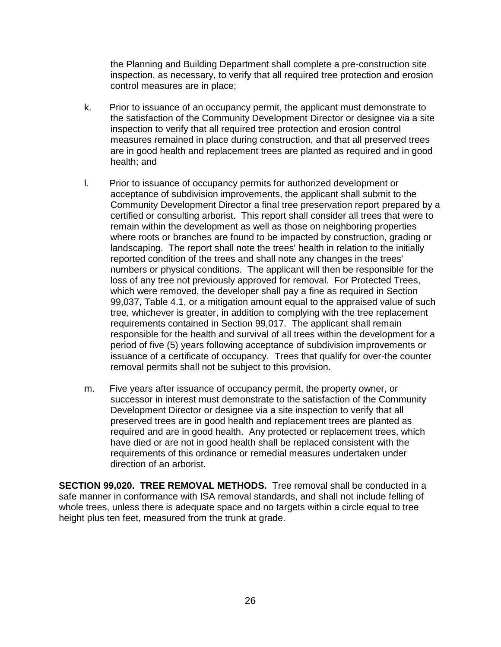the Planning and Building Department shall complete a pre-construction site inspection, as necessary, to verify that all required tree protection and erosion control measures are in place;

- k. Prior to issuance of an occupancy permit, the applicant must demonstrate to the satisfaction of the Community Development Director or designee via a site inspection to verify that all required tree protection and erosion control measures remained in place during construction, and that all preserved trees are in good health and replacement trees are planted as required and in good health; and
- l. Prior to issuance of occupancy permits for authorized development or acceptance of subdivision improvements, the applicant shall submit to the Community Development Director a final tree preservation report prepared by a certified or consulting arborist. This report shall consider all trees that were to remain within the development as well as those on neighboring properties where roots or branches are found to be impacted by construction, grading or landscaping. The report shall note the trees' health in relation to the initially reported condition of the trees and shall note any changes in the trees' numbers or physical conditions. The applicant will then be responsible for the loss of any tree not previously approved for removal. For Protected Trees, which were removed, the developer shall pay a fine as required in Section 99,037, Table 4.1, or a mitigation amount equal to the appraised value of such tree, whichever is greater, in addition to complying with the tree replacement requirements contained in Section 99,017. The applicant shall remain responsible for the health and survival of all trees within the development for a period of five (5) years following acceptance of subdivision improvements or issuance of a certificate of occupancy. Trees that qualify for over-the counter removal permits shall not be subject to this provision.
- m. Five years after issuance of occupancy permit, the property owner, or successor in interest must demonstrate to the satisfaction of the Community Development Director or designee via a site inspection to verify that all preserved trees are in good health and replacement trees are planted as required and are in good health. Any protected or replacement trees, which have died or are not in good health shall be replaced consistent with the requirements of this ordinance or remedial measures undertaken under direction of an arborist.

**SECTION 99,020. TREE REMOVAL METHODS.** Tree removal shall be conducted in a safe manner in conformance with ISA removal standards, and shall not include felling of whole trees, unless there is adequate space and no targets within a circle equal to tree height plus ten feet, measured from the trunk at grade.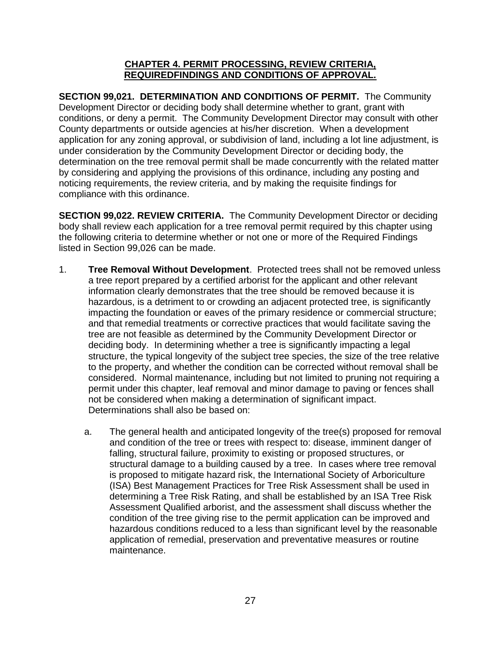#### **CHAPTER 4. PERMIT PROCESSING, REVIEW CRITERIA, REQUIREDFINDINGS AND CONDITIONS OF APPROVAL.**

**SECTION 99,021. DETERMINATION AND CONDITIONS OF PERMIT.** The Community Development Director or deciding body shall determine whether to grant, grant with conditions, or deny a permit. The Community Development Director may consult with other County departments or outside agencies at his/her discretion. When a development application for any zoning approval, or subdivision of land, including a lot line adjustment, is under consideration by the Community Development Director or deciding body, the determination on the tree removal permit shall be made concurrently with the related matter by considering and applying the provisions of this ordinance, including any posting and noticing requirements, the review criteria, and by making the requisite findings for compliance with this ordinance.

**SECTION 99,022. REVIEW CRITERIA.** The Community Development Director or deciding body shall review each application for a tree removal permit required by this chapter using the following criteria to determine whether or not one or more of the Required Findings listed in Section 99,026 can be made.

- 1. **Tree Removal Without Development**. Protected trees shall not be removed unless a tree report prepared by a certified arborist for the applicant and other relevant information clearly demonstrates that the tree should be removed because it is hazardous, is a detriment to or crowding an adjacent protected tree, is significantly impacting the foundation or eaves of the primary residence or commercial structure; and that remedial treatments or corrective practices that would facilitate saving the tree are not feasible as determined by the Community Development Director or deciding body. In determining whether a tree is significantly impacting a legal structure, the typical longevity of the subject tree species, the size of the tree relative to the property, and whether the condition can be corrected without removal shall be considered. Normal maintenance, including but not limited to pruning not requiring a permit under this chapter, leaf removal and minor damage to paving or fences shall not be considered when making a determination of significant impact. Determinations shall also be based on:
	- a. The general health and anticipated longevity of the tree(s) proposed for removal and condition of the tree or trees with respect to: disease, imminent danger of falling, structural failure, proximity to existing or proposed structures, or structural damage to a building caused by a tree. In cases where tree removal is proposed to mitigate hazard risk, the International Society of Arboriculture (ISA) Best Management Practices for Tree Risk Assessment shall be used in determining a Tree Risk Rating, and shall be established by an ISA Tree Risk Assessment Qualified arborist, and the assessment shall discuss whether the condition of the tree giving rise to the permit application can be improved and hazardous conditions reduced to a less than significant level by the reasonable application of remedial, preservation and preventative measures or routine maintenance.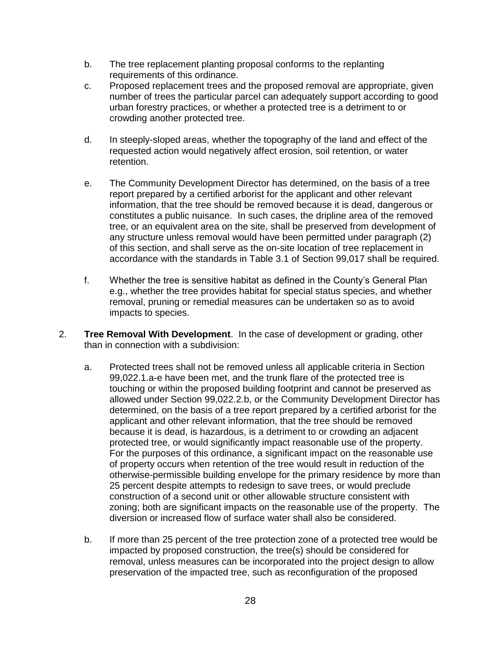- b. The tree replacement planting proposal conforms to the replanting requirements of this ordinance.
- c. Proposed replacement trees and the proposed removal are appropriate, given number of trees the particular parcel can adequately support according to good urban forestry practices, or whether a protected tree is a detriment to or crowding another protected tree.
- d. In steeply-sloped areas, whether the topography of the land and effect of the requested action would negatively affect erosion, soil retention, or water retention.
- e. The Community Development Director has determined, on the basis of a tree report prepared by a certified arborist for the applicant and other relevant information, that the tree should be removed because it is dead, dangerous or constitutes a public nuisance. In such cases, the dripline area of the removed tree, or an equivalent area on the site, shall be preserved from development of any structure unless removal would have been permitted under paragraph (2) of this section, and shall serve as the on-site location of tree replacement in accordance with the standards in Table 3.1 of Section 99,017 shall be required.
- f. Whether the tree is sensitive habitat as defined in the County's General Plan e.g., whether the tree provides habitat for special status species, and whether removal, pruning or remedial measures can be undertaken so as to avoid impacts to species.
- 2. **Tree Removal With Development**. In the case of development or grading, other than in connection with a subdivision:
	- a. Protected trees shall not be removed unless all applicable criteria in Section 99,022.1.a-e have been met, and the trunk flare of the protected tree is touching or within the proposed building footprint and cannot be preserved as allowed under Section 99,022.2.b, or the Community Development Director has determined, on the basis of a tree report prepared by a certified arborist for the applicant and other relevant information, that the tree should be removed because it is dead, is hazardous, is a detriment to or crowding an adjacent protected tree, or would significantly impact reasonable use of the property. For the purposes of this ordinance, a significant impact on the reasonable use of property occurs when retention of the tree would result in reduction of the otherwise-permissible building envelope for the primary residence by more than 25 percent despite attempts to redesign to save trees, or would preclude construction of a second unit or other allowable structure consistent with zoning; both are significant impacts on the reasonable use of the property. The diversion or increased flow of surface water shall also be considered.
	- b. If more than 25 percent of the tree protection zone of a protected tree would be impacted by proposed construction, the tree(s) should be considered for removal, unless measures can be incorporated into the project design to allow preservation of the impacted tree, such as reconfiguration of the proposed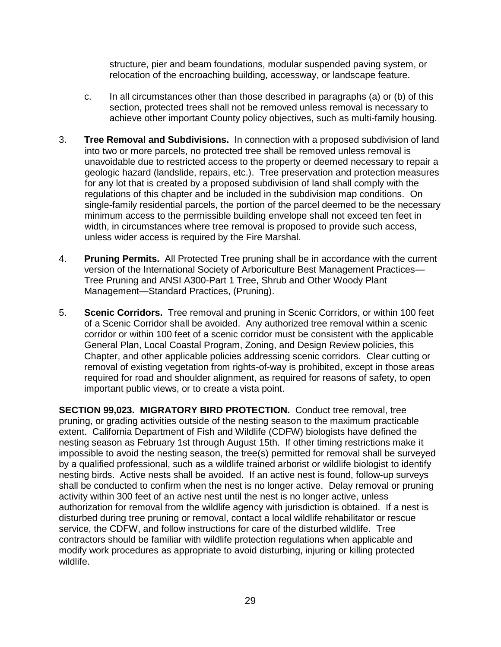structure, pier and beam foundations, modular suspended paving system, or relocation of the encroaching building, accessway, or landscape feature.

- c. In all circumstances other than those described in paragraphs (a) or (b) of this section, protected trees shall not be removed unless removal is necessary to achieve other important County policy objectives, such as multi-family housing.
- 3. **Tree Removal and Subdivisions.** In connection with a proposed subdivision of land into two or more parcels, no protected tree shall be removed unless removal is unavoidable due to restricted access to the property or deemed necessary to repair a geologic hazard (landslide, repairs, etc.). Tree preservation and protection measures for any lot that is created by a proposed subdivision of land shall comply with the regulations of this chapter and be included in the subdivision map conditions. On single-family residential parcels, the portion of the parcel deemed to be the necessary minimum access to the permissible building envelope shall not exceed ten feet in width, in circumstances where tree removal is proposed to provide such access, unless wider access is required by the Fire Marshal.
- 4. **Pruning Permits.** All Protected Tree pruning shall be in accordance with the current version of the International Society of Arboriculture Best Management Practices— Tree Pruning and ANSI A300-Part 1 Tree, Shrub and Other Woody Plant Management—Standard Practices, (Pruning).
- 5. **Scenic Corridors.** Tree removal and pruning in Scenic Corridors, or within 100 feet of a Scenic Corridor shall be avoided. Any authorized tree removal within a scenic corridor or within 100 feet of a scenic corridor must be consistent with the applicable General Plan, Local Coastal Program, Zoning, and Design Review policies, this Chapter, and other applicable policies addressing scenic corridors. Clear cutting or removal of existing vegetation from rights-of-way is prohibited, except in those areas required for road and shoulder alignment, as required for reasons of safety, to open important public views, or to create a vista point.

**SECTION 99,023. MIGRATORY BIRD PROTECTION.** Conduct tree removal, tree pruning, or grading activities outside of the nesting season to the maximum practicable extent. California Department of Fish and Wildlife (CDFW) biologists have defined the nesting season as February 1st through August 15th. If other timing restrictions make it impossible to avoid the nesting season, the tree(s) permitted for removal shall be surveyed by a qualified professional, such as a wildlife trained arborist or wildlife biologist to identify nesting birds. Active nests shall be avoided. If an active nest is found, follow-up surveys shall be conducted to confirm when the nest is no longer active. Delay removal or pruning activity within 300 feet of an active nest until the nest is no longer active, unless authorization for removal from the wildlife agency with jurisdiction is obtained. If a nest is disturbed during tree pruning or removal, contact a local wildlife rehabilitator or rescue service, the CDFW, and follow instructions for care of the disturbed wildlife. Tree contractors should be familiar with wildlife protection regulations when applicable and modify work procedures as appropriate to avoid disturbing, injuring or killing protected wildlife.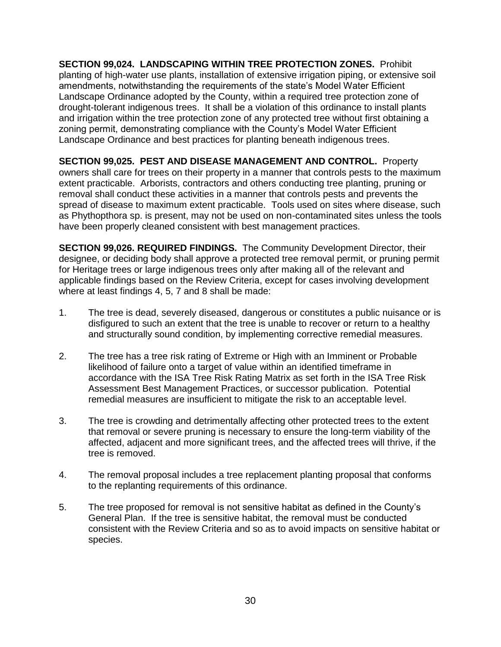**SECTION 99,024. LANDSCAPING WITHIN TREE PROTECTION ZONES.** Prohibit planting of high-water use plants, installation of extensive irrigation piping, or extensive soil amendments, notwithstanding the requirements of the state's Model Water Efficient Landscape Ordinance adopted by the County, within a required tree protection zone of drought-tolerant indigenous trees. It shall be a violation of this ordinance to install plants and irrigation within the tree protection zone of any protected tree without first obtaining a zoning permit, demonstrating compliance with the County's Model Water Efficient Landscape Ordinance and best practices for planting beneath indigenous trees.

**SECTION 99,025. PEST AND DISEASE MANAGEMENT AND CONTROL.** Property owners shall care for trees on their property in a manner that controls pests to the maximum extent practicable. Arborists, contractors and others conducting tree planting, pruning or removal shall conduct these activities in a manner that controls pests and prevents the spread of disease to maximum extent practicable. Tools used on sites where disease, such as Phythopthora sp. is present, may not be used on non-contaminated sites unless the tools have been properly cleaned consistent with best management practices.

**SECTION 99,026. REQUIRED FINDINGS.** The Community Development Director, their designee, or deciding body shall approve a protected tree removal permit, or pruning permit for Heritage trees or large indigenous trees only after making all of the relevant and applicable findings based on the Review Criteria, except for cases involving development where at least findings 4, 5, 7 and 8 shall be made:

- 1. The tree is dead, severely diseased, dangerous or constitutes a public nuisance or is disfigured to such an extent that the tree is unable to recover or return to a healthy and structurally sound condition, by implementing corrective remedial measures.
- 2. The tree has a tree risk rating of Extreme or High with an Imminent or Probable likelihood of failure onto a target of value within an identified timeframe in accordance with the ISA Tree Risk Rating Matrix as set forth in the ISA Tree Risk Assessment Best Management Practices, or successor publication. Potential remedial measures are insufficient to mitigate the risk to an acceptable level.
- 3. The tree is crowding and detrimentally affecting other protected trees to the extent that removal or severe pruning is necessary to ensure the long-term viability of the affected, adjacent and more significant trees, and the affected trees will thrive, if the tree is removed.
- 4. The removal proposal includes a tree replacement planting proposal that conforms to the replanting requirements of this ordinance.
- 5. The tree proposed for removal is not sensitive habitat as defined in the County's General Plan. If the tree is sensitive habitat, the removal must be conducted consistent with the Review Criteria and so as to avoid impacts on sensitive habitat or species.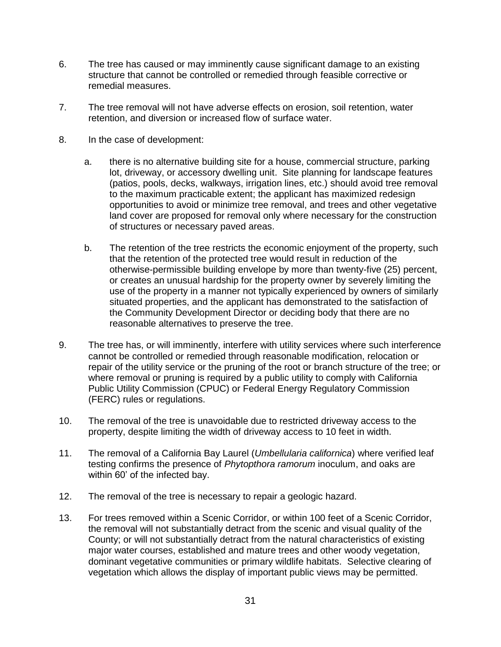- 6. The tree has caused or may imminently cause significant damage to an existing structure that cannot be controlled or remedied through feasible corrective or remedial measures.
- 7. The tree removal will not have adverse effects on erosion, soil retention, water retention, and diversion or increased flow of surface water.
- 8. In the case of development:
	- a. there is no alternative building site for a house, commercial structure, parking lot, driveway, or accessory dwelling unit. Site planning for landscape features (patios, pools, decks, walkways, irrigation lines, etc.) should avoid tree removal to the maximum practicable extent; the applicant has maximized redesign opportunities to avoid or minimize tree removal, and trees and other vegetative land cover are proposed for removal only where necessary for the construction of structures or necessary paved areas.
	- b. The retention of the tree restricts the economic enjoyment of the property, such that the retention of the protected tree would result in reduction of the otherwise-permissible building envelope by more than twenty-five (25) percent, or creates an unusual hardship for the property owner by severely limiting the use of the property in a manner not typically experienced by owners of similarly situated properties, and the applicant has demonstrated to the satisfaction of the Community Development Director or deciding body that there are no reasonable alternatives to preserve the tree.
- 9. The tree has, or will imminently, interfere with utility services where such interference cannot be controlled or remedied through reasonable modification, relocation or repair of the utility service or the pruning of the root or branch structure of the tree; or where removal or pruning is required by a public utility to comply with California Public Utility Commission (CPUC) or Federal Energy Regulatory Commission (FERC) rules or regulations.
- 10. The removal of the tree is unavoidable due to restricted driveway access to the property, despite limiting the width of driveway access to 10 feet in width.
- 11. The removal of a California Bay Laurel (*Umbellularia californica*) where verified leaf testing confirms the presence of *Phytopthora ramorum* inoculum, and oaks are within 60' of the infected bay.
- 12. The removal of the tree is necessary to repair a geologic hazard.
- 13. For trees removed within a Scenic Corridor, or within 100 feet of a Scenic Corridor, the removal will not substantially detract from the scenic and visual quality of the County; or will not substantially detract from the natural characteristics of existing major water courses, established and mature trees and other woody vegetation, dominant vegetative communities or primary wildlife habitats. Selective clearing of vegetation which allows the display of important public views may be permitted.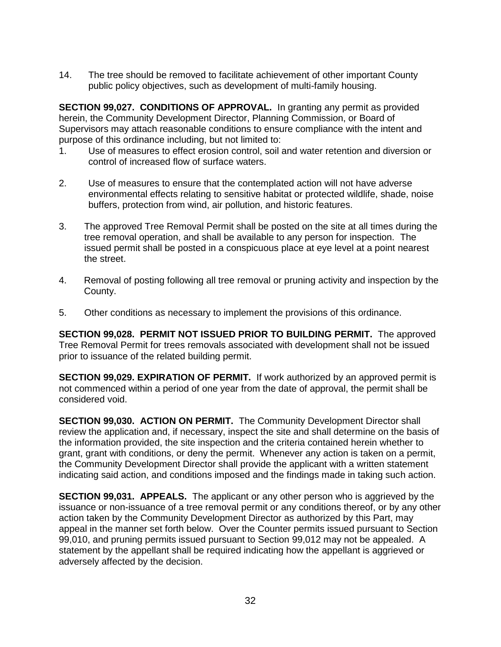14. The tree should be removed to facilitate achievement of other important County public policy objectives, such as development of multi-family housing.

**SECTION 99,027. CONDITIONS OF APPROVAL.** In granting any permit as provided herein, the Community Development Director, Planning Commission, or Board of Supervisors may attach reasonable conditions to ensure compliance with the intent and purpose of this ordinance including, but not limited to:

- 1. Use of measures to effect erosion control, soil and water retention and diversion or control of increased flow of surface waters.
- 2. Use of measures to ensure that the contemplated action will not have adverse environmental effects relating to sensitive habitat or protected wildlife, shade, noise buffers, protection from wind, air pollution, and historic features.
- 3. The approved Tree Removal Permit shall be posted on the site at all times during the tree removal operation, and shall be available to any person for inspection. The issued permit shall be posted in a conspicuous place at eye level at a point nearest the street.
- 4. Removal of posting following all tree removal or pruning activity and inspection by the County.
- 5. Other conditions as necessary to implement the provisions of this ordinance.

**SECTION 99,028. PERMIT NOT ISSUED PRIOR TO BUILDING PERMIT.** The approved Tree Removal Permit for trees removals associated with development shall not be issued prior to issuance of the related building permit.

**SECTION 99,029. EXPIRATION OF PERMIT.** If work authorized by an approved permit is not commenced within a period of one year from the date of approval, the permit shall be considered void.

**SECTION 99,030. ACTION ON PERMIT.** The Community Development Director shall review the application and, if necessary, inspect the site and shall determine on the basis of the information provided, the site inspection and the criteria contained herein whether to grant, grant with conditions, or deny the permit. Whenever any action is taken on a permit, the Community Development Director shall provide the applicant with a written statement indicating said action, and conditions imposed and the findings made in taking such action.

**SECTION 99,031. APPEALS.** The applicant or any other person who is aggrieved by the issuance or non-issuance of a tree removal permit or any conditions thereof, or by any other action taken by the Community Development Director as authorized by this Part, may appeal in the manner set forth below. Over the Counter permits issued pursuant to Section 99,010, and pruning permits issued pursuant to Section 99,012 may not be appealed. A statement by the appellant shall be required indicating how the appellant is aggrieved or adversely affected by the decision.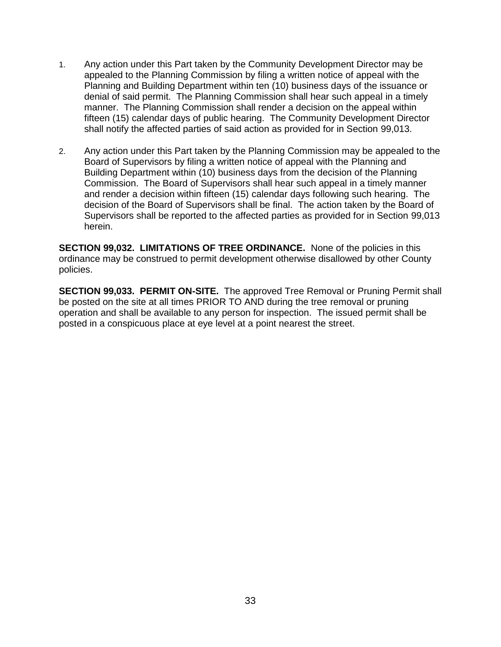- 1. Any action under this Part taken by the Community Development Director may be appealed to the Planning Commission by filing a written notice of appeal with the Planning and Building Department within ten (10) business days of the issuance or denial of said permit. The Planning Commission shall hear such appeal in a timely manner. The Planning Commission shall render a decision on the appeal within fifteen (15) calendar days of public hearing. The Community Development Director shall notify the affected parties of said action as provided for in Section 99,013.
- 2. Any action under this Part taken by the Planning Commission may be appealed to the Board of Supervisors by filing a written notice of appeal with the Planning and Building Department within (10) business days from the decision of the Planning Commission. The Board of Supervisors shall hear such appeal in a timely manner and render a decision within fifteen (15) calendar days following such hearing. The decision of the Board of Supervisors shall be final. The action taken by the Board of Supervisors shall be reported to the affected parties as provided for in Section 99,013 herein.

**SECTION 99,032. LIMITATIONS OF TREE ORDINANCE.** None of the policies in this ordinance may be construed to permit development otherwise disallowed by other County policies.

**SECTION 99,033. PERMIT ON-SITE.** The approved Tree Removal or Pruning Permit shall be posted on the site at all times PRIOR TO AND during the tree removal or pruning operation and shall be available to any person for inspection. The issued permit shall be posted in a conspicuous place at eye level at a point nearest the street.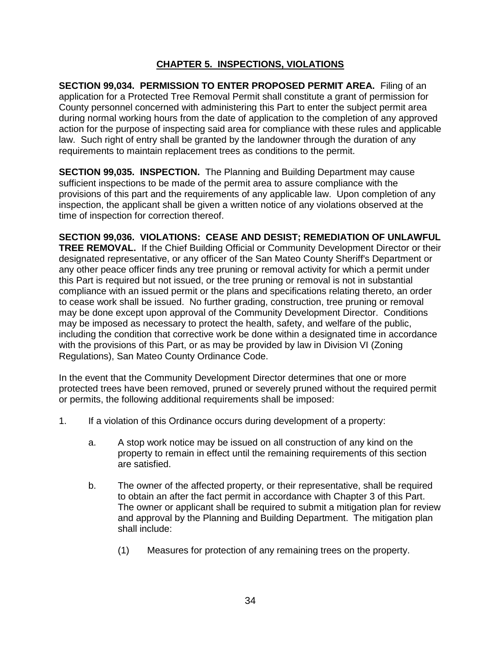## **CHAPTER 5. INSPECTIONS, VIOLATIONS**

**SECTION 99,034. PERMISSION TO ENTER PROPOSED PERMIT AREA.** Filing of an application for a Protected Tree Removal Permit shall constitute a grant of permission for County personnel concerned with administering this Part to enter the subject permit area during normal working hours from the date of application to the completion of any approved action for the purpose of inspecting said area for compliance with these rules and applicable law. Such right of entry shall be granted by the landowner through the duration of any requirements to maintain replacement trees as conditions to the permit.

**SECTION 99,035. INSPECTION.** The Planning and Building Department may cause sufficient inspections to be made of the permit area to assure compliance with the provisions of this part and the requirements of any applicable law. Upon completion of any inspection, the applicant shall be given a written notice of any violations observed at the time of inspection for correction thereof.

**SECTION 99,036. VIOLATIONS: CEASE AND DESIST; REMEDIATION OF UNLAWFUL TREE REMOVAL.** If the Chief Building Official or Community Development Director or their designated representative, or any officer of the San Mateo County Sheriff's Department or any other peace officer finds any tree pruning or removal activity for which a permit under this Part is required but not issued, or the tree pruning or removal is not in substantial compliance with an issued permit or the plans and specifications relating thereto, an order to cease work shall be issued. No further grading, construction, tree pruning or removal may be done except upon approval of the Community Development Director. Conditions may be imposed as necessary to protect the health, safety, and welfare of the public, including the condition that corrective work be done within a designated time in accordance with the provisions of this Part, or as may be provided by law in Division VI (Zoning Regulations), San Mateo County Ordinance Code.

In the event that the Community Development Director determines that one or more protected trees have been removed, pruned or severely pruned without the required permit or permits, the following additional requirements shall be imposed:

- 1. If a violation of this Ordinance occurs during development of a property:
	- a. A stop work notice may be issued on all construction of any kind on the property to remain in effect until the remaining requirements of this section are satisfied.
	- b. The owner of the affected property, or their representative, shall be required to obtain an after the fact permit in accordance with Chapter 3 of this Part. The owner or applicant shall be required to submit a mitigation plan for review and approval by the Planning and Building Department. The mitigation plan shall include:
		- (1) Measures for protection of any remaining trees on the property.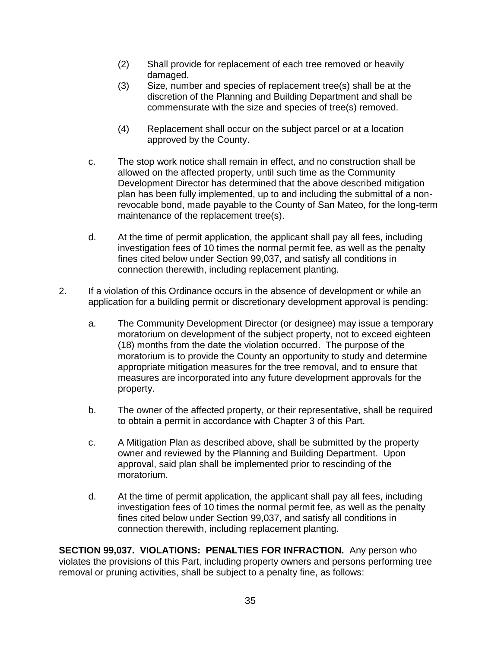- (2) Shall provide for replacement of each tree removed or heavily damaged.
- (3) Size, number and species of replacement tree(s) shall be at the discretion of the Planning and Building Department and shall be commensurate with the size and species of tree(s) removed.
- (4) Replacement shall occur on the subject parcel or at a location approved by the County.
- c. The stop work notice shall remain in effect, and no construction shall be allowed on the affected property, until such time as the Community Development Director has determined that the above described mitigation plan has been fully implemented, up to and including the submittal of a nonrevocable bond, made payable to the County of San Mateo, for the long-term maintenance of the replacement tree(s).
- d. At the time of permit application, the applicant shall pay all fees, including investigation fees of 10 times the normal permit fee, as well as the penalty fines cited below under Section 99,037, and satisfy all conditions in connection therewith, including replacement planting.
- 2. If a violation of this Ordinance occurs in the absence of development or while an application for a building permit or discretionary development approval is pending:
	- a. The Community Development Director (or designee) may issue a temporary moratorium on development of the subject property, not to exceed eighteen (18) months from the date the violation occurred. The purpose of the moratorium is to provide the County an opportunity to study and determine appropriate mitigation measures for the tree removal, and to ensure that measures are incorporated into any future development approvals for the property.
	- b. The owner of the affected property, or their representative, shall be required to obtain a permit in accordance with Chapter 3 of this Part.
	- c. A Mitigation Plan as described above, shall be submitted by the property owner and reviewed by the Planning and Building Department. Upon approval, said plan shall be implemented prior to rescinding of the moratorium.
	- d. At the time of permit application, the applicant shall pay all fees, including investigation fees of 10 times the normal permit fee, as well as the penalty fines cited below under Section 99,037, and satisfy all conditions in connection therewith, including replacement planting.

**SECTION 99,037. VIOLATIONS: PENALTIES FOR INFRACTION.** Any person who violates the provisions of this Part, including property owners and persons performing tree removal or pruning activities, shall be subject to a penalty fine, as follows: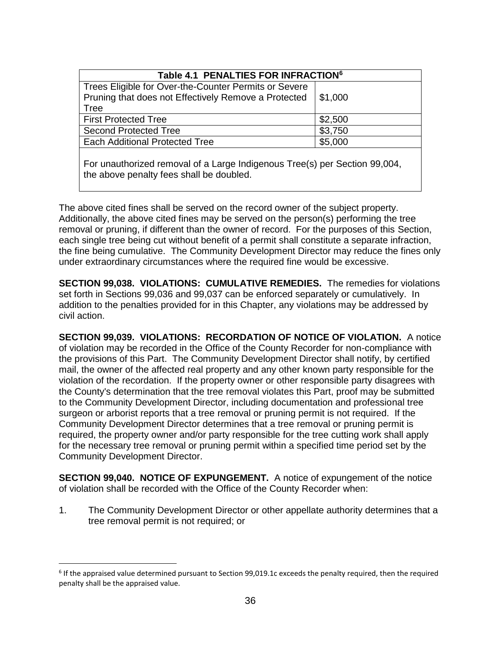| Table 4.1 PENALTIES FOR INFRACTION <sup>6</sup>                                                                        |         |  |  |
|------------------------------------------------------------------------------------------------------------------------|---------|--|--|
| Trees Eligible for Over-the-Counter Permits or Severe<br>Pruning that does not Effectively Remove a Protected          | \$1,000 |  |  |
| Tree                                                                                                                   |         |  |  |
| <b>First Protected Tree</b>                                                                                            | \$2,500 |  |  |
| <b>Second Protected Tree</b>                                                                                           | \$3,750 |  |  |
| <b>Each Additional Protected Tree</b>                                                                                  | \$5,000 |  |  |
| For unauthorized removal of a Large Indigenous Tree(s) per Section 99,004,<br>the above penalty fees shall be doubled. |         |  |  |

The above cited fines shall be served on the record owner of the subject property. Additionally, the above cited fines may be served on the person(s) performing the tree removal or pruning, if different than the owner of record. For the purposes of this Section, each single tree being cut without benefit of a permit shall constitute a separate infraction, the fine being cumulative. The Community Development Director may reduce the fines only under extraordinary circumstances where the required fine would be excessive.

**SECTION 99,038. VIOLATIONS: CUMULATIVE REMEDIES.** The remedies for violations set forth in Sections 99,036 and 99,037 can be enforced separately or cumulatively. In addition to the penalties provided for in this Chapter, any violations may be addressed by civil action.

**SECTION 99,039. VIOLATIONS: RECORDATION OF NOTICE OF VIOLATION.** A notice of violation may be recorded in the Office of the County Recorder for non-compliance with the provisions of this Part. The Community Development Director shall notify, by certified mail, the owner of the affected real property and any other known party responsible for the violation of the recordation. If the property owner or other responsible party disagrees with the County's determination that the tree removal violates this Part, proof may be submitted to the Community Development Director, including documentation and professional tree surgeon or arborist reports that a tree removal or pruning permit is not required. If the Community Development Director determines that a tree removal or pruning permit is required, the property owner and/or party responsible for the tree cutting work shall apply for the necessary tree removal or pruning permit within a specified time period set by the Community Development Director.

**SECTION 99,040. NOTICE OF EXPUNGEMENT.** A notice of expungement of the notice of violation shall be recorded with the Office of the County Recorder when:

1. The Community Development Director or other appellate authority determines that a tree removal permit is not required; or

 $\overline{a}$ 

<sup>&</sup>lt;sup>6</sup> If the appraised value determined pursuant to Section 99,019.1c exceeds the penalty required, then the required penalty shall be the appraised value.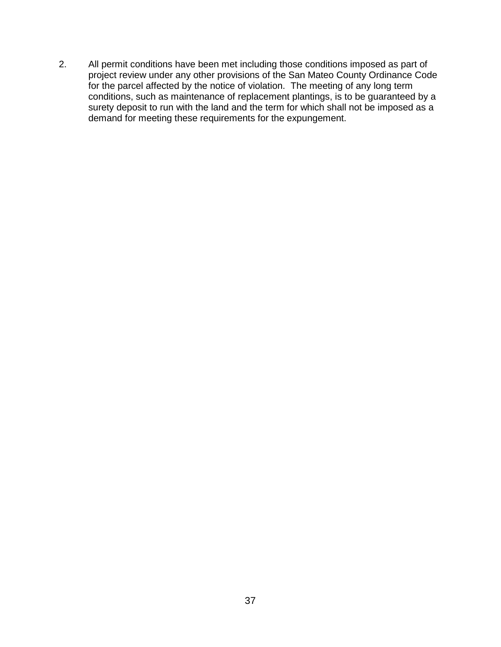2. All permit conditions have been met including those conditions imposed as part of project review under any other provisions of the San Mateo County Ordinance Code for the parcel affected by the notice of violation. The meeting of any long term conditions, such as maintenance of replacement plantings, is to be guaranteed by a surety deposit to run with the land and the term for which shall not be imposed as a demand for meeting these requirements for the expungement.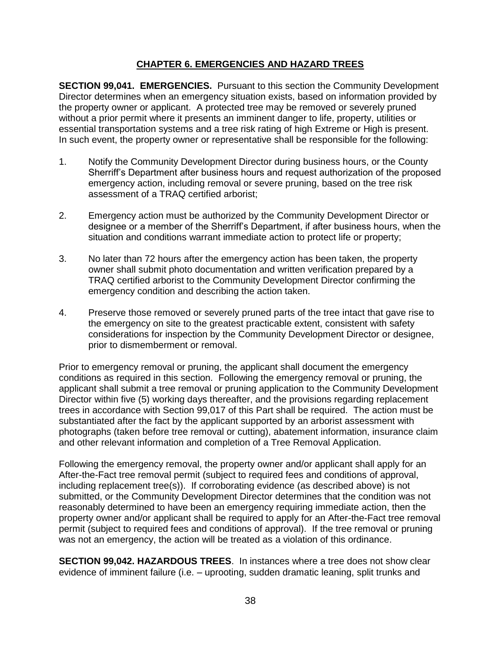## **CHAPTER 6. EMERGENCIES AND HAZARD TREES**

**SECTION 99,041. EMERGENCIES.** Pursuant to this section the Community Development Director determines when an emergency situation exists, based on information provided by the property owner or applicant. A protected tree may be removed or severely pruned without a prior permit where it presents an imminent danger to life, property, utilities or essential transportation systems and a tree risk rating of high Extreme or High is present. In such event, the property owner or representative shall be responsible for the following:

- 1. Notify the Community Development Director during business hours, or the County Sherriff's Department after business hours and request authorization of the proposed emergency action, including removal or severe pruning, based on the tree risk assessment of a TRAQ certified arborist;
- 2. Emergency action must be authorized by the Community Development Director or designee or a member of the Sherriff's Department, if after business hours, when the situation and conditions warrant immediate action to protect life or property;
- 3. No later than 72 hours after the emergency action has been taken, the property owner shall submit photo documentation and written verification prepared by a TRAQ certified arborist to the Community Development Director confirming the emergency condition and describing the action taken.
- 4. Preserve those removed or severely pruned parts of the tree intact that gave rise to the emergency on site to the greatest practicable extent, consistent with safety considerations for inspection by the Community Development Director or designee, prior to dismemberment or removal.

Prior to emergency removal or pruning, the applicant shall document the emergency conditions as required in this section. Following the emergency removal or pruning, the applicant shall submit a tree removal or pruning application to the Community Development Director within five (5) working days thereafter, and the provisions regarding replacement trees in accordance with Section 99,017 of this Part shall be required. The action must be substantiated after the fact by the applicant supported by an arborist assessment with photographs (taken before tree removal or cutting), abatement information, insurance claim and other relevant information and completion of a Tree Removal Application.

Following the emergency removal, the property owner and/or applicant shall apply for an After-the-Fact tree removal permit (subject to required fees and conditions of approval, including replacement tree(s)). If corroborating evidence (as described above) is not submitted, or the Community Development Director determines that the condition was not reasonably determined to have been an emergency requiring immediate action, then the property owner and/or applicant shall be required to apply for an After-the-Fact tree removal permit (subject to required fees and conditions of approval). If the tree removal or pruning was not an emergency, the action will be treated as a violation of this ordinance.

**SECTION 99,042. HAZARDOUS TREES**. In instances where a tree does not show clear evidence of imminent failure (i.e. – uprooting, sudden dramatic leaning, split trunks and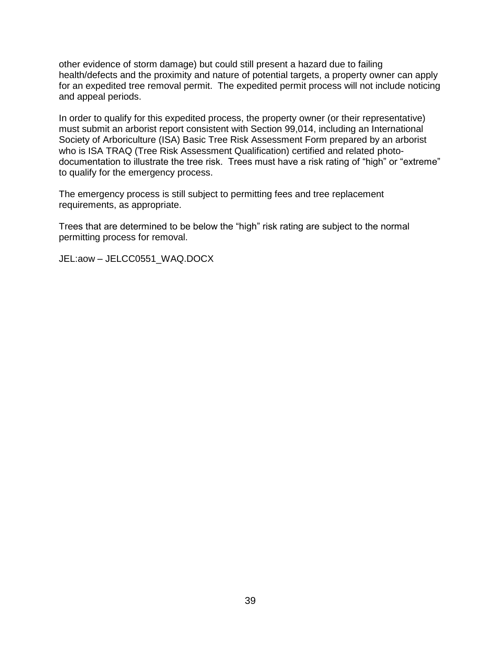other evidence of storm damage) but could still present a hazard due to failing health/defects and the proximity and nature of potential targets, a property owner can apply for an expedited tree removal permit. The expedited permit process will not include noticing and appeal periods.

In order to qualify for this expedited process, the property owner (or their representative) must submit an arborist report consistent with Section 99,014, including an International Society of Arboriculture (ISA) Basic Tree Risk Assessment Form prepared by an arborist who is ISA TRAQ (Tree Risk Assessment Qualification) certified and related photodocumentation to illustrate the tree risk. Trees must have a risk rating of "high" or "extreme" to qualify for the emergency process.

The emergency process is still subject to permitting fees and tree replacement requirements, as appropriate.

Trees that are determined to be below the "high" risk rating are subject to the normal permitting process for removal.

JEL:aow – JELCC0551\_WAQ.DOCX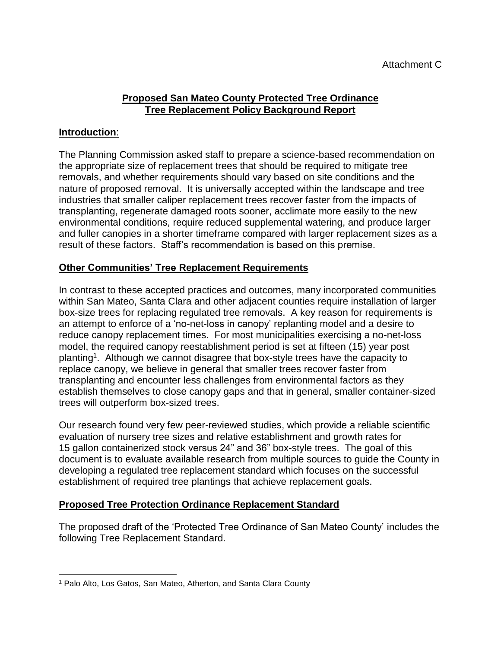## **Proposed San Mateo County Protected Tree Ordinance Tree Replacement Policy Background Report**

## **Introduction**:

The Planning Commission asked staff to prepare a science-based recommendation on the appropriate size of replacement trees that should be required to mitigate tree removals, and whether requirements should vary based on site conditions and the nature of proposed removal. It is universally accepted within the landscape and tree industries that smaller caliper replacement trees recover faster from the impacts of transplanting, regenerate damaged roots sooner, acclimate more easily to the new environmental conditions, require reduced supplemental watering, and produce larger and fuller canopies in a shorter timeframe compared with larger replacement sizes as a result of these factors. Staff's recommendation is based on this premise.

### **Other Communities' Tree Replacement Requirements**

In contrast to these accepted practices and outcomes, many incorporated communities within San Mateo, Santa Clara and other adjacent counties require installation of larger box-size trees for replacing regulated tree removals. A key reason for requirements is an attempt to enforce of a 'no-net-loss in canopy' replanting model and a desire to reduce canopy replacement times. For most municipalities exercising a no-net-loss model, the required canopy reestablishment period is set at fifteen (15) year post planting<sup>1</sup>. Although we cannot disagree that box-style trees have the capacity to replace canopy, we believe in general that smaller trees recover faster from transplanting and encounter less challenges from environmental factors as they establish themselves to close canopy gaps and that in general, smaller container-sized trees will outperform box-sized trees.

Our research found very few peer-reviewed studies, which provide a reliable scientific evaluation of nursery tree sizes and relative establishment and growth rates for 15 gallon containerized stock versus 24" and 36" box-style trees. The goal of this document is to evaluate available research from multiple sources to guide the County in developing a regulated tree replacement standard which focuses on the successful establishment of required tree plantings that achieve replacement goals.

## **Proposed Tree Protection Ordinance Replacement Standard**

The proposed draft of the 'Protected Tree Ordinance of San Mateo County' includes the following Tree Replacement Standard.

 $\overline{\phantom{a}}$ <sup>1</sup> Palo Alto, Los Gatos, San Mateo, Atherton, and Santa Clara County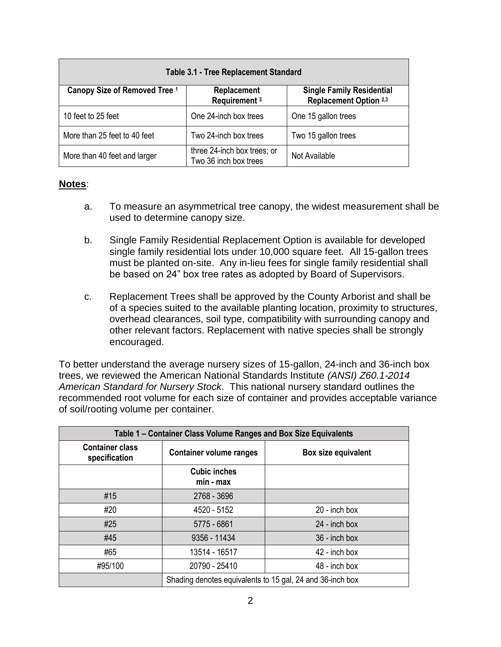| <b>Table 3.1 - Tree Replacement Standard</b> |                                                      |                                                            |  |  |
|----------------------------------------------|------------------------------------------------------|------------------------------------------------------------|--|--|
| Canopy Size of Removed Tree 1                | Replacement<br>Requirement <sup>3</sup>              | <b>Single Family Residential</b><br>Replacement Option 2,3 |  |  |
| 10 feet to 25 feet                           | One 24-inch box trees                                | One 15 gallon trees                                        |  |  |
| More than 25 feet to 40 feet                 | Two 24-inch box trees                                | Two 15 gallon trees                                        |  |  |
| More than 40 feet and larger                 | three 24-inch box trees; or<br>Two 36 inch box trees | Not Available                                              |  |  |

### **Notes**:

- a. To measure an asymmetrical tree canopy, the widest measurement shall be used to determine canopy size.
- b. Single Family Residential Replacement Option is available for developed single family residential lots under 10,000 square feet. All 15-gallon trees must be planted on-site. Any in-lieu fees for single family residential shall be based on 24" box tree rates as adopted by Board of Supervisors.
- c. Replacement Trees shall be approved by the County Arborist and shall be of a species suited to the available planting location, proximity to structures, overhead clearances, soil type, compatibility with surrounding canopy and other relevant factors. Replacement with native species shall be strongly encouraged.

To better understand the average nursery sizes of 15-gallon, 24-inch and 36-inch box trees, we reviewed the American National Standards Institute *(ANSI) Z60.1-2014 American Standard for Nursery Stock*. This national nursery standard outlines the recommended root volume for each size of container and provides acceptable variance of soil/rooting volume per container.

| Table 1 - Container Class Volume Ranges and Box Size Equivalents |                                                           |                     |  |  |
|------------------------------------------------------------------|-----------------------------------------------------------|---------------------|--|--|
| <b>Container class</b><br>specification                          | <b>Container volume ranges</b>                            | Box size equivalent |  |  |
|                                                                  | <b>Cubic inches</b><br>$min - max$                        |                     |  |  |
| #15                                                              | 2768 - 3696                                               |                     |  |  |
| #20                                                              | 4520 - 5152                                               | 20 - inch box       |  |  |
| #25                                                              | 5775 - 6861                                               | $24$ - inch box     |  |  |
| #45                                                              | 9356 - 11434                                              | 36 - inch box       |  |  |
| #65                                                              | 13514 - 16517                                             | 42 - inch box       |  |  |
| #95/100                                                          | 20790 - 25410                                             | 48 - inch box       |  |  |
|                                                                  | Shading denotes equivalents to 15 gal, 24 and 36-inch box |                     |  |  |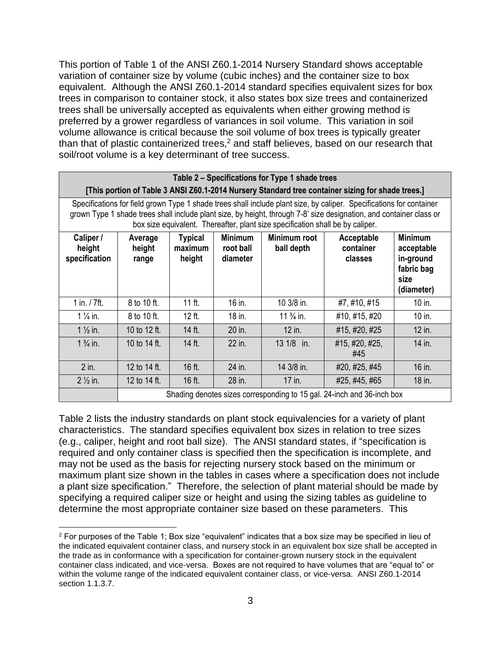This portion of Table 1 of the ANSI Z60.1-2014 Nursery Standard shows acceptable variation of container size by volume (cubic inches) and the container size to box equivalent. Although the ANSI Z60.1-2014 standard specifies equivalent sizes for box trees in comparison to container stock, it also states box size trees and containerized trees shall be universally accepted as equivalents when either growing method is preferred by a grower regardless of variances in soil volume. This variation in soil volume allowance is critical because the soil volume of box trees is typically greater than that of plastic containerized trees, <sup>2</sup> and staff believes, based on our research that soil/root volume is a key determinant of tree success.

|                                                                        | Table 2 – Specifications for Type 1 shade trees                                                                                                                                                                                                                                                                               |                                     |                                         |                            |                                                                                                   |                                                                               |
|------------------------------------------------------------------------|-------------------------------------------------------------------------------------------------------------------------------------------------------------------------------------------------------------------------------------------------------------------------------------------------------------------------------|-------------------------------------|-----------------------------------------|----------------------------|---------------------------------------------------------------------------------------------------|-------------------------------------------------------------------------------|
|                                                                        |                                                                                                                                                                                                                                                                                                                               |                                     |                                         |                            | [This portion of Table 3 ANSI Z60.1-2014 Nursery Standard tree container sizing for shade trees.] |                                                                               |
|                                                                        | Specifications for field grown Type 1 shade trees shall include plant size, by caliper. Specifications for container<br>grown Type 1 shade trees shall include plant size, by height, through 7-8' size designation, and container class or<br>box size equivalent. Thereafter, plant size specification shall be by caliper. |                                     |                                         |                            |                                                                                                   |                                                                               |
| Caliper /<br>height<br>specification                                   | Average<br>height<br>range                                                                                                                                                                                                                                                                                                    | <b>Typical</b><br>maximum<br>height | <b>Minimum</b><br>root ball<br>diameter | Minimum root<br>ball depth | Acceptable<br>container<br>classes                                                                | <b>Minimum</b><br>acceptable<br>in-ground<br>fabric bag<br>size<br>(diameter) |
| 1 in. / 7ft.                                                           | 8 to 10 ft.                                                                                                                                                                                                                                                                                                                   | $11$ ft.                            | 16 in.                                  | 10 3/8 in.                 | #7, #10, #15                                                                                      | 10 in.                                                                        |
| $1\frac{1}{4}$ in.                                                     | 8 to 10 ft.                                                                                                                                                                                                                                                                                                                   | $12$ ft.                            | 18 in.                                  | $11\frac{3}{4}$ in.        | #10, #15, #20                                                                                     | 10 in.                                                                        |
| $1\frac{1}{2}$ in.                                                     | 10 to 12 ft.                                                                                                                                                                                                                                                                                                                  | 14 ft.                              | 20 in.                                  | 12 in.                     | #15, #20, #25                                                                                     | 12 in.                                                                        |
| $1\frac{3}{4}$ in.                                                     | 10 to 14 ft.                                                                                                                                                                                                                                                                                                                  | 14 ft.                              | 22 in.                                  | 13 1/8 in.                 | #15, #20, #25,<br>#45                                                                             | 14 in.                                                                        |
| $2$ in.                                                                | 12 to 14 ft.                                                                                                                                                                                                                                                                                                                  | 16 ft.                              | 24 in.                                  | 14 3/8 in.                 | #20, #25, #45                                                                                     | 16 in.                                                                        |
| $2\frac{1}{2}$ in.                                                     | 12 to 14 ft.                                                                                                                                                                                                                                                                                                                  | $16$ ft.                            | 28 in.                                  | 17 in.                     | #25, #45, #65                                                                                     | 18 in.                                                                        |
| Shading denotes sizes corresponding to 15 gal. 24-inch and 36-inch box |                                                                                                                                                                                                                                                                                                                               |                                     |                                         |                            |                                                                                                   |                                                                               |

Table 2 lists the industry standards on plant stock equivalencies for a variety of plant characteristics. The standard specifies equivalent box sizes in relation to tree sizes (e.g., caliper, height and root ball size). The ANSI standard states, if "specification is required and only container class is specified then the specification is incomplete, and may not be used as the basis for rejecting nursery stock based on the minimum or maximum plant size shown in the tables in cases where a specification does not include a plant size specification." Therefore, the selection of plant material should be made by specifying a required caliper size or height and using the sizing tables as guideline to determine the most appropriate container size based on these parameters. This

l  $2$  For purposes of the Table 1; Box size "equivalent" indicates that a box size may be specified in lieu of the indicated equivalent container class, and nursery stock in an equivalent box size shall be accepted in the trade as in conformance with a specification for container-grown nursery stock in the equivalent container class indicated, and vice-versa. Boxes are not required to have volumes that are "equal to" or within the volume range of the indicated equivalent container class, or vice-versa. ANSI Z60.1-2014 section 1.1.3.7.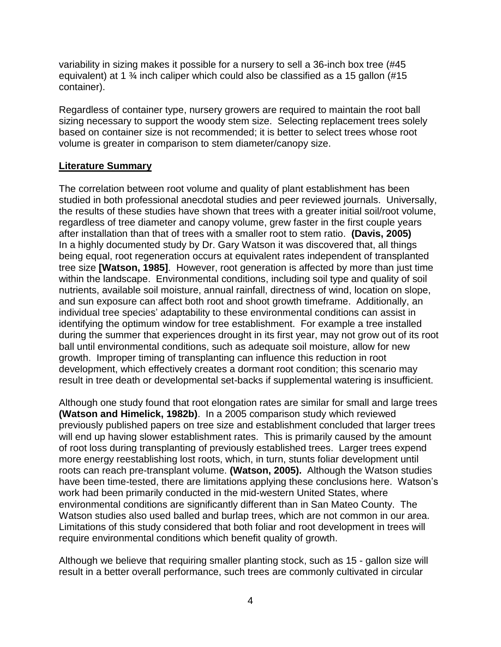variability in sizing makes it possible for a nursery to sell a 36-inch box tree (#45 equivalent) at 1 ¾ inch caliper which could also be classified as a 15 gallon (#15 container).

Regardless of container type, nursery growers are required to maintain the root ball sizing necessary to support the woody stem size. Selecting replacement trees solely based on container size is not recommended; it is better to select trees whose root volume is greater in comparison to stem diameter/canopy size.

## **Literature Summary**

The correlation between root volume and quality of plant establishment has been studied in both professional anecdotal studies and peer reviewed journals. Universally, the results of these studies have shown that trees with a greater initial soil/root volume, regardless of tree diameter and canopy volume, grew faster in the first couple years after installation than that of trees with a smaller root to stem ratio. **(Davis, 2005)** In a highly documented study by Dr. Gary Watson it was discovered that, all things being equal, root regeneration occurs at equivalent rates independent of transplanted tree size **[Watson, 1985]**. However, root generation is affected by more than just time within the landscape. Environmental conditions, including soil type and quality of soil nutrients, available soil moisture, annual rainfall, directness of wind, location on slope, and sun exposure can affect both root and shoot growth timeframe. Additionally, an individual tree species' adaptability to these environmental conditions can assist in identifying the optimum window for tree establishment. For example a tree installed during the summer that experiences drought in its first year, may not grow out of its root ball until environmental conditions, such as adequate soil moisture, allow for new growth. Improper timing of transplanting can influence this reduction in root development, which effectively creates a dormant root condition; this scenario may result in tree death or developmental set-backs if supplemental watering is insufficient.

Although one study found that root elongation rates are similar for small and large trees **(Watson and Himelick, 1982b)**. In a 2005 comparison study which reviewed previously published papers on tree size and establishment concluded that larger trees will end up having slower establishment rates. This is primarily caused by the amount of root loss during transplanting of previously established trees. Larger trees expend more energy reestablishing lost roots, which, in turn, stunts foliar development until roots can reach pre-transplant volume. **(Watson, 2005).** Although the Watson studies have been time-tested, there are limitations applying these conclusions here. Watson's work had been primarily conducted in the mid-western United States, where environmental conditions are significantly different than in San Mateo County. The Watson studies also used balled and burlap trees, which are not common in our area. Limitations of this study considered that both foliar and root development in trees will require environmental conditions which benefit quality of growth.

Although we believe that requiring smaller planting stock, such as 15 - gallon size will result in a better overall performance, such trees are commonly cultivated in circular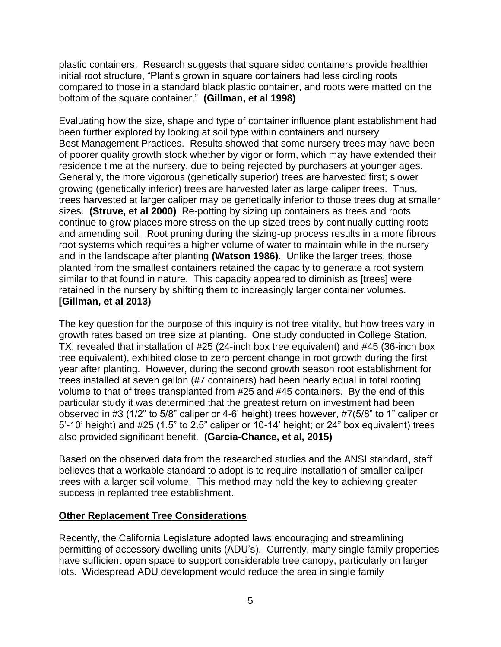plastic containers. Research suggests that square sided containers provide healthier initial root structure, "Plant's grown in square containers had less circling roots compared to those in a standard black plastic container, and roots were matted on the bottom of the square container." **(Gillman, et al 1998)**

Evaluating how the size, shape and type of container influence plant establishment had been further explored by looking at soil type within containers and nursery Best Management Practices. Results showed that some nursery trees may have been of poorer quality growth stock whether by vigor or form, which may have extended their residence time at the nursery, due to being rejected by purchasers at younger ages. Generally, the more vigorous (genetically superior) trees are harvested first; slower growing (genetically inferior) trees are harvested later as large caliper trees. Thus, trees harvested at larger caliper may be genetically inferior to those trees dug at smaller sizes. **(Struve, et al 2000)** Re-potting by sizing up containers as trees and roots continue to grow places more stress on the up-sized trees by continually cutting roots and amending soil. Root pruning during the sizing-up process results in a more fibrous root systems which requires a higher volume of water to maintain while in the nursery and in the landscape after planting **(Watson 1986)**. Unlike the larger trees, those planted from the smallest containers retained the capacity to generate a root system similar to that found in nature. This capacity appeared to diminish as [trees] were retained in the nursery by shifting them to increasingly larger container volumes. **[Gillman, et al 2013)**

The key question for the purpose of this inquiry is not tree vitality, but how trees vary in growth rates based on tree size at planting. One study conducted in College Station, TX, revealed that installation of #25 (24-inch box tree equivalent) and #45 (36-inch box tree equivalent), exhibited close to zero percent change in root growth during the first year after planting. However, during the second growth season root establishment for trees installed at seven gallon (#7 containers) had been nearly equal in total rooting volume to that of trees transplanted from #25 and #45 containers. By the end of this particular study it was determined that the greatest return on investment had been observed in #3 (1/2" to 5/8" caliper or 4-6' height) trees however, #7(5/8" to 1" caliper or 5'-10' height) and #25 (1.5" to 2.5" caliper or 10-14' height; or 24" box equivalent) trees also provided significant benefit. **(Garcia-Chance, et al, 2015)**

Based on the observed data from the researched studies and the ANSI standard, staff believes that a workable standard to adopt is to require installation of smaller caliper trees with a larger soil volume. This method may hold the key to achieving greater success in replanted tree establishment.

### **Other Replacement Tree Considerations**

Recently, the California Legislature adopted laws encouraging and streamlining permitting of accessory dwelling units (ADU's). Currently, many single family properties have sufficient open space to support considerable tree canopy, particularly on larger lots. Widespread ADU development would reduce the area in single family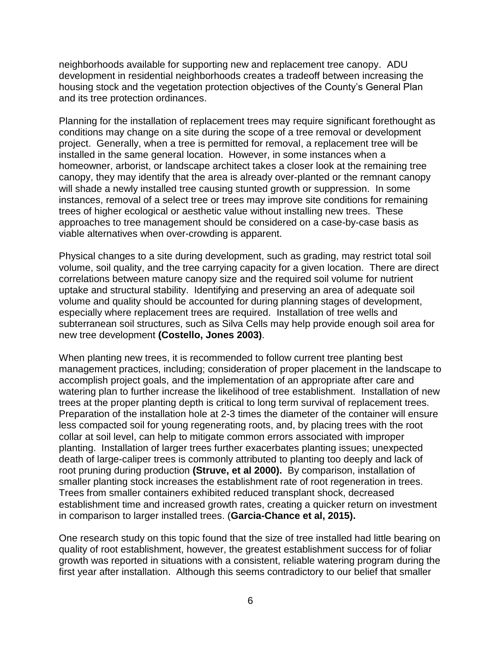neighborhoods available for supporting new and replacement tree canopy. ADU development in residential neighborhoods creates a tradeoff between increasing the housing stock and the vegetation protection objectives of the County's General Plan and its tree protection ordinances.

Planning for the installation of replacement trees may require significant forethought as conditions may change on a site during the scope of a tree removal or development project. Generally, when a tree is permitted for removal, a replacement tree will be installed in the same general location. However, in some instances when a homeowner, arborist, or landscape architect takes a closer look at the remaining tree canopy, they may identify that the area is already over-planted or the remnant canopy will shade a newly installed tree causing stunted growth or suppression. In some instances, removal of a select tree or trees may improve site conditions for remaining trees of higher ecological or aesthetic value without installing new trees. These approaches to tree management should be considered on a case-by-case basis as viable alternatives when over-crowding is apparent.

Physical changes to a site during development, such as grading, may restrict total soil volume, soil quality, and the tree carrying capacity for a given location. There are direct correlations between mature canopy size and the required soil volume for nutrient uptake and structural stability. Identifying and preserving an area of adequate soil volume and quality should be accounted for during planning stages of development, especially where replacement trees are required. Installation of tree wells and subterranean soil structures, such as Silva Cells may help provide enough soil area for new tree development **(Costello, Jones 2003)**.

When planting new trees, it is recommended to follow current tree planting best management practices, including; consideration of proper placement in the landscape to accomplish project goals, and the implementation of an appropriate after care and watering plan to further increase the likelihood of tree establishment. Installation of new trees at the proper planting depth is critical to long term survival of replacement trees. Preparation of the installation hole at 2-3 times the diameter of the container will ensure less compacted soil for young regenerating roots, and, by placing trees with the root collar at soil level, can help to mitigate common errors associated with improper planting. Installation of larger trees further exacerbates planting issues; unexpected death of large-caliper trees is commonly attributed to planting too deeply and lack of root pruning during production **(Struve, et al 2000).** By comparison, installation of smaller planting stock increases the establishment rate of root regeneration in trees. Trees from smaller containers exhibited reduced transplant shock, decreased establishment time and increased growth rates, creating a quicker return on investment in comparison to larger installed trees. (**Garcia-Chance et al, 2015).**

One research study on this topic found that the size of tree installed had little bearing on quality of root establishment, however, the greatest establishment success for of foliar growth was reported in situations with a consistent, reliable watering program during the first year after installation. Although this seems contradictory to our belief that smaller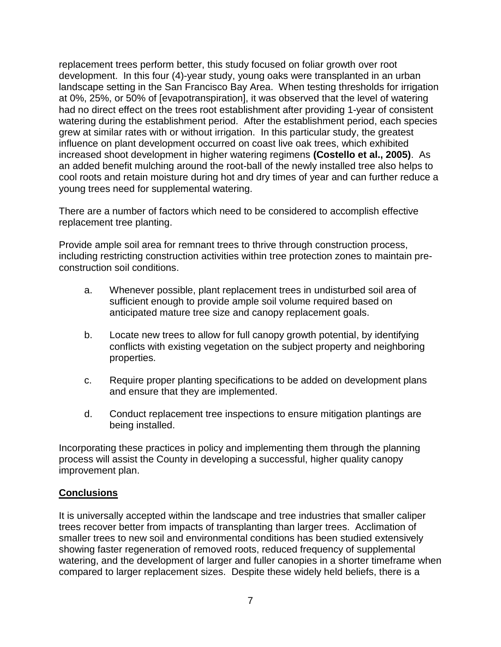replacement trees perform better, this study focused on foliar growth over root development. In this four (4)-year study, young oaks were transplanted in an urban landscape setting in the San Francisco Bay Area. When testing thresholds for irrigation at 0%, 25%, or 50% of [evapotranspiration], it was observed that the level of watering had no direct effect on the trees root establishment after providing 1-year of consistent watering during the establishment period. After the establishment period, each species grew at similar rates with or without irrigation. In this particular study, the greatest influence on plant development occurred on coast live oak trees, which exhibited increased shoot development in higher watering regimens **(Costello et al., 2005)**. As an added benefit mulching around the root-ball of the newly installed tree also helps to cool roots and retain moisture during hot and dry times of year and can further reduce a young trees need for supplemental watering.

There are a number of factors which need to be considered to accomplish effective replacement tree planting.

Provide ample soil area for remnant trees to thrive through construction process, including restricting construction activities within tree protection zones to maintain preconstruction soil conditions.

- a. Whenever possible, plant replacement trees in undisturbed soil area of sufficient enough to provide ample soil volume required based on anticipated mature tree size and canopy replacement goals.
- b. Locate new trees to allow for full canopy growth potential, by identifying conflicts with existing vegetation on the subject property and neighboring properties.
- c. Require proper planting specifications to be added on development plans and ensure that they are implemented.
- d. Conduct replacement tree inspections to ensure mitigation plantings are being installed.

Incorporating these practices in policy and implementing them through the planning process will assist the County in developing a successful, higher quality canopy improvement plan.

### **Conclusions**

It is universally accepted within the landscape and tree industries that smaller caliper trees recover better from impacts of transplanting than larger trees. Acclimation of smaller trees to new soil and environmental conditions has been studied extensively showing faster regeneration of removed roots, reduced frequency of supplemental watering, and the development of larger and fuller canopies in a shorter timeframe when compared to larger replacement sizes. Despite these widely held beliefs, there is a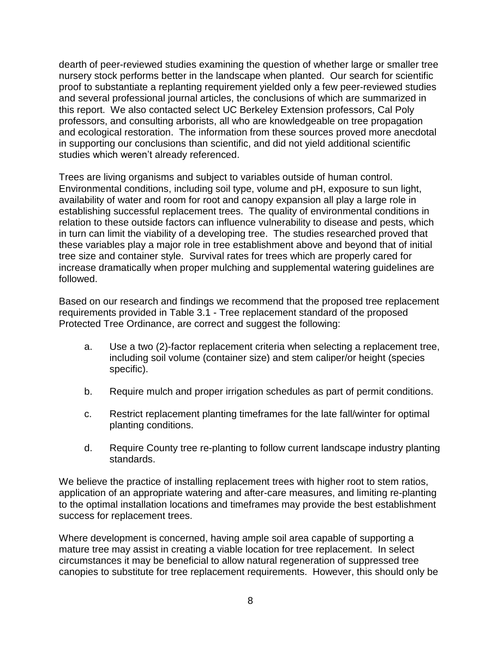dearth of peer-reviewed studies examining the question of whether large or smaller tree nursery stock performs better in the landscape when planted. Our search for scientific proof to substantiate a replanting requirement yielded only a few peer-reviewed studies and several professional journal articles, the conclusions of which are summarized in this report. We also contacted select UC Berkeley Extension professors, Cal Poly professors, and consulting arborists, all who are knowledgeable on tree propagation and ecological restoration. The information from these sources proved more anecdotal in supporting our conclusions than scientific, and did not yield additional scientific studies which weren't already referenced.

Trees are living organisms and subject to variables outside of human control. Environmental conditions, including soil type, volume and pH, exposure to sun light, availability of water and room for root and canopy expansion all play a large role in establishing successful replacement trees. The quality of environmental conditions in relation to these outside factors can influence vulnerability to disease and pests, which in turn can limit the viability of a developing tree. The studies researched proved that these variables play a major role in tree establishment above and beyond that of initial tree size and container style. Survival rates for trees which are properly cared for increase dramatically when proper mulching and supplemental watering guidelines are followed.

Based on our research and findings we recommend that the proposed tree replacement requirements provided in Table 3.1 - Tree replacement standard of the proposed Protected Tree Ordinance, are correct and suggest the following:

- a. Use a two (2)-factor replacement criteria when selecting a replacement tree, including soil volume (container size) and stem caliper/or height (species specific).
- b. Require mulch and proper irrigation schedules as part of permit conditions.
- c. Restrict replacement planting timeframes for the late fall/winter for optimal planting conditions.
- d. Require County tree re-planting to follow current landscape industry planting standards.

We believe the practice of installing replacement trees with higher root to stem ratios, application of an appropriate watering and after-care measures, and limiting re-planting to the optimal installation locations and timeframes may provide the best establishment success for replacement trees.

Where development is concerned, having ample soil area capable of supporting a mature tree may assist in creating a viable location for tree replacement. In select circumstances it may be beneficial to allow natural regeneration of suppressed tree canopies to substitute for tree replacement requirements. However, this should only be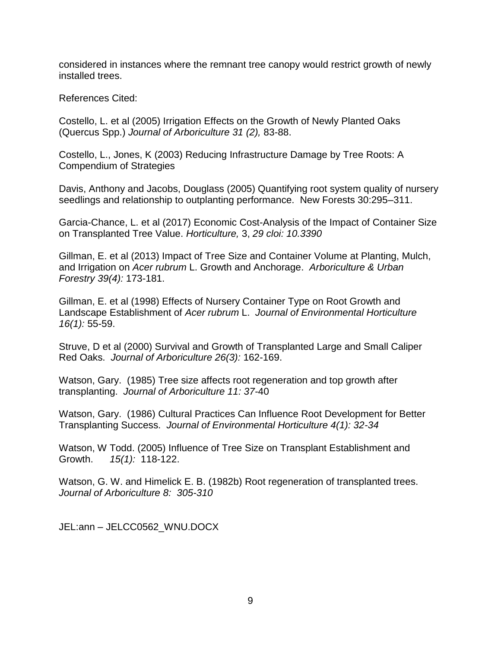considered in instances where the remnant tree canopy would restrict growth of newly installed trees.

References Cited:

Costello, L. et al (2005) Irrigation Effects on the Growth of Newly Planted Oaks (Quercus Spp.) *Journal of Arboriculture 31 (2),* 83-88.

Costello, L., Jones, K (2003) Reducing Infrastructure Damage by Tree Roots: A Compendium of Strategies

Davis, Anthony and Jacobs, Douglass (2005) Quantifying root system quality of nursery seedlings and relationship to outplanting performance. New Forests 30:295–311.

Garcia-Chance, L. et al (2017) Economic Cost-Analysis of the Impact of Container Size on Transplanted Tree Value. *Horticulture,* 3, *29 cloi: 10.3390*

Gillman, E. et al (2013) Impact of Tree Size and Container Volume at Planting, Mulch, and Irrigation on *Acer rubrum* L. Growth and Anchorage. *Arboriculture & Urban Forestry 39(4):* 173-181.

Gillman, E. et al (1998) Effects of Nursery Container Type on Root Growth and Landscape Establishment of *Acer rubrum* L. *Journal of Environmental Horticulture 16(1):* 55-59.

Struve, D et al (2000) Survival and Growth of Transplanted Large and Small Caliper Red Oaks. *Journal of Arboriculture 26(3):* 162-169.

Watson, Gary. (1985) Tree size affects root regeneration and top growth after transplanting. *Journal of Arboriculture 11: 37*-40

Watson, Gary. (1986) Cultural Practices Can Influence Root Development for Better Transplanting Success. *Journal of Environmental Horticulture 4(1): 32-34*

Watson, W Todd. (2005) Influence of Tree Size on Transplant Establishment and Growth. *15(1):* 118-122.

Watson, G. W. and Himelick E. B. (1982b) Root regeneration of transplanted trees. *Journal of Arboriculture 8: 305-310*

JEL:ann – JELCC0562\_WNU.DOCX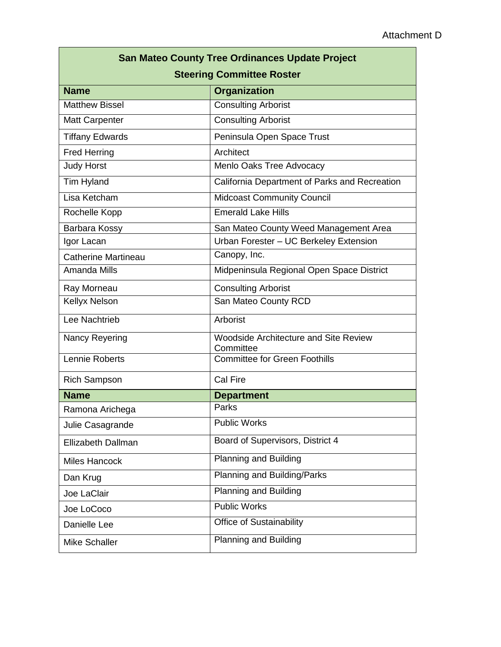| <b>San Mateo County Tree Ordinances Update Project</b> |                                                    |  |  |
|--------------------------------------------------------|----------------------------------------------------|--|--|
| <b>Steering Committee Roster</b>                       |                                                    |  |  |
| <b>Name</b>                                            | Organization                                       |  |  |
| <b>Matthew Bissel</b>                                  | <b>Consulting Arborist</b>                         |  |  |
| <b>Matt Carpenter</b>                                  | <b>Consulting Arborist</b>                         |  |  |
| <b>Tiffany Edwards</b>                                 | Peninsula Open Space Trust                         |  |  |
| <b>Fred Herring</b>                                    | Architect                                          |  |  |
| <b>Judy Horst</b>                                      | Menlo Oaks Tree Advocacy                           |  |  |
| Tim Hyland                                             | California Department of Parks and Recreation      |  |  |
| Lisa Ketcham                                           | <b>Midcoast Community Council</b>                  |  |  |
| Rochelle Kopp                                          | <b>Emerald Lake Hills</b>                          |  |  |
| Barbara Kossy                                          | San Mateo County Weed Management Area              |  |  |
| Igor Lacan                                             | Urban Forester - UC Berkeley Extension             |  |  |
| <b>Catherine Martineau</b>                             | Canopy, Inc.                                       |  |  |
| <b>Amanda Mills</b>                                    | Midpeninsula Regional Open Space District          |  |  |
| Ray Morneau                                            | <b>Consulting Arborist</b>                         |  |  |
| <b>Kellyx Nelson</b>                                   | San Mateo County RCD                               |  |  |
| Lee Nachtrieb                                          | Arborist                                           |  |  |
| Nancy Reyering                                         | Woodside Architecture and Site Review<br>Committee |  |  |
| Lennie Roberts                                         | <b>Committee for Green Foothills</b>               |  |  |
| <b>Rich Sampson</b>                                    | Cal Fire                                           |  |  |
| <b>Name</b>                                            | <b>Department</b>                                  |  |  |
| Ramona Arichega                                        | Parks                                              |  |  |
| Julie Casagrande                                       | <b>Public Works</b>                                |  |  |
| <b>Ellizabeth Dallman</b>                              | Board of Supervisors, District 4                   |  |  |
| <b>Miles Hancock</b>                                   | Planning and Building                              |  |  |
| Dan Krug                                               | Planning and Building/Parks                        |  |  |
| Joe LaClair                                            | <b>Planning and Building</b>                       |  |  |
| Joe LoCoco                                             | <b>Public Works</b>                                |  |  |
| Danielle Lee                                           | Office of Sustainability                           |  |  |
| Mike Schaller                                          | Planning and Building                              |  |  |